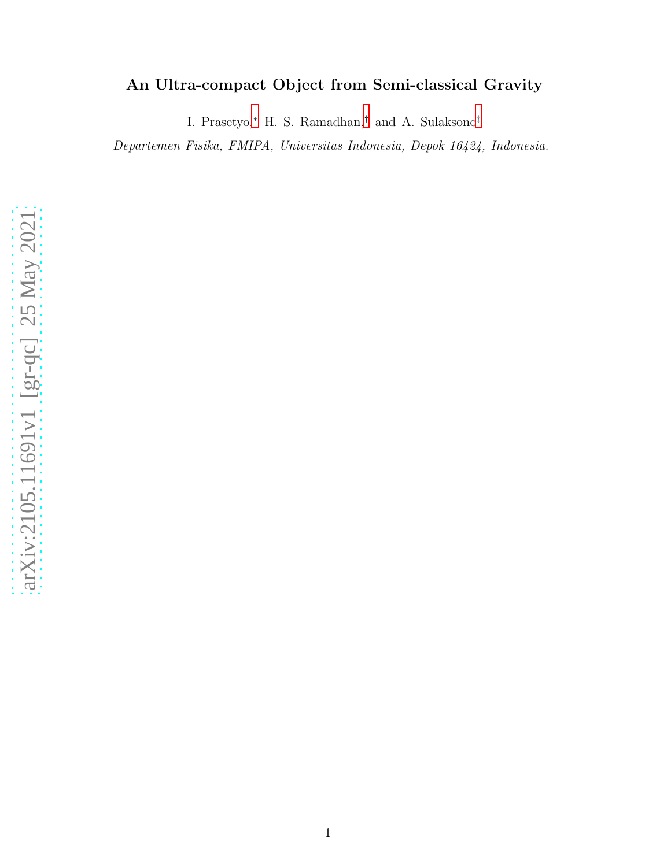# An Ultra-compact Object from Semi-classical Gravity

I. Prasetyo, [∗](#page-1-0) H. S. Ramadhan, [†](#page-1-1) and A. Sulaksono [‡](#page-1-2)

Departemen Fisika, FMIPA, Universitas Indonesia, Depok 16424, Indonesia.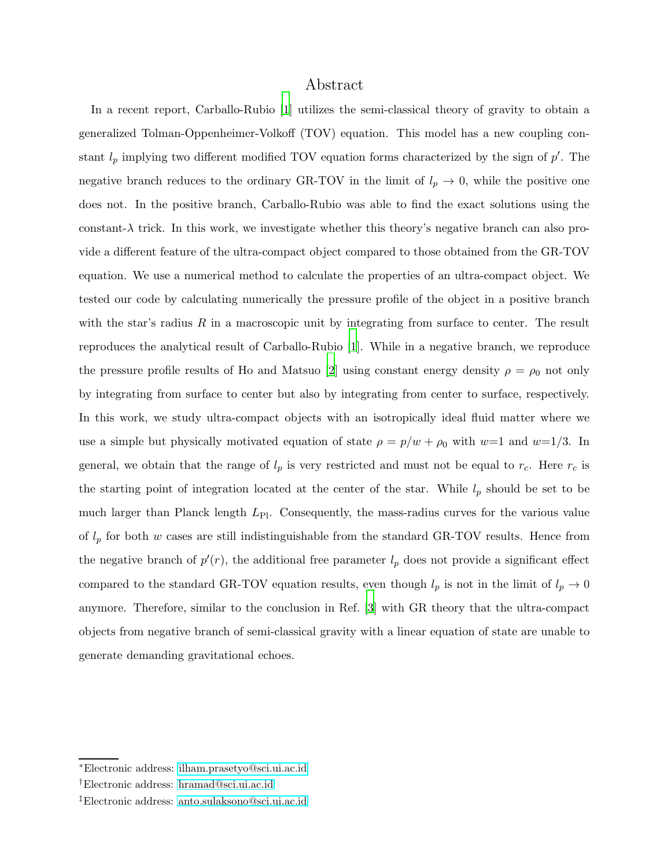# Abstract

In a recent report, Carballo-Rubio [\[1](#page-20-0)] utilizes the semi-classical theory of gravity to obtain a generalized Tolman-Oppenheimer-Volkoff (TOV) equation. This model has a new coupling constant  $l_p$  implying two different modified TOV equation forms characterized by the sign of  $p'$ . The negative branch reduces to the ordinary GR-TOV in the limit of  $l_p \rightarrow 0$ , while the positive one does not. In the positive branch, Carballo-Rubio was able to find the exact solutions using the constant- $\lambda$  trick. In this work, we investigate whether this theory's negative branch can also provide a different feature of the ultra-compact object compared to those obtained from the GR-TOV equation. We use a numerical method to calculate the properties of an ultra-compact object. We tested our code by calculating numerically the pressure profile of the object in a positive branch with the star's radius  $R$  in a macroscopic unit by integrating from surface to center. The result reproduces the analytical result of Carballo-Rubio [\[1](#page-20-0)]. While in a negative branch, we reproduce the pressure profile results of Ho and Matsuo [\[2](#page-20-1)] using constant energy density  $\rho = \rho_0$  not only by integrating from surface to center but also by integrating from center to surface, respectively. In this work, we study ultra-compact objects with an isotropically ideal fluid matter where we use a simple but physically motivated equation of state  $\rho = p/w + \rho_0$  with  $w=1$  and  $w=1/3$ . In general, we obtain that the range of  $l_p$  is very restricted and must not be equal to  $r_c$ . Here  $r_c$  is the starting point of integration located at the center of the star. While  $l_p$  should be set to be much larger than Planck length  $L_{\text{Pl}}$ . Consequently, the mass-radius curves for the various value of  $l_p$  for both w cases are still indistinguishable from the standard GR-TOV results. Hence from the negative branch of  $p'(r)$ , the additional free parameter  $l_p$  does not provide a significant effect compared to the standard GR-TOV equation results, even though  $l_p$  is not in the limit of  $l_p \to 0$ anymore. Therefore, similar to the conclusion in Ref. [\[3](#page-20-2)] with GR theory that the ultra-compact objects from negative branch of semi-classical gravity with a linear equation of state are unable to generate demanding gravitational echoes.

<span id="page-1-1"></span><span id="page-1-0"></span><sup>∗</sup>Electronic address: [ilham.prasetyo@sci.ui.ac.id](mailto:ilham.prasetyo@sci.ui.ac.id)

<span id="page-1-2"></span><sup>†</sup>Electronic address: [hramad@sci.ui.ac.id](mailto:hramad@sci.ui.ac.id)

<sup>‡</sup>Electronic address: [anto.sulaksono@sci.ui.ac.id](mailto:anto.sulaksono@sci.ui.ac.id)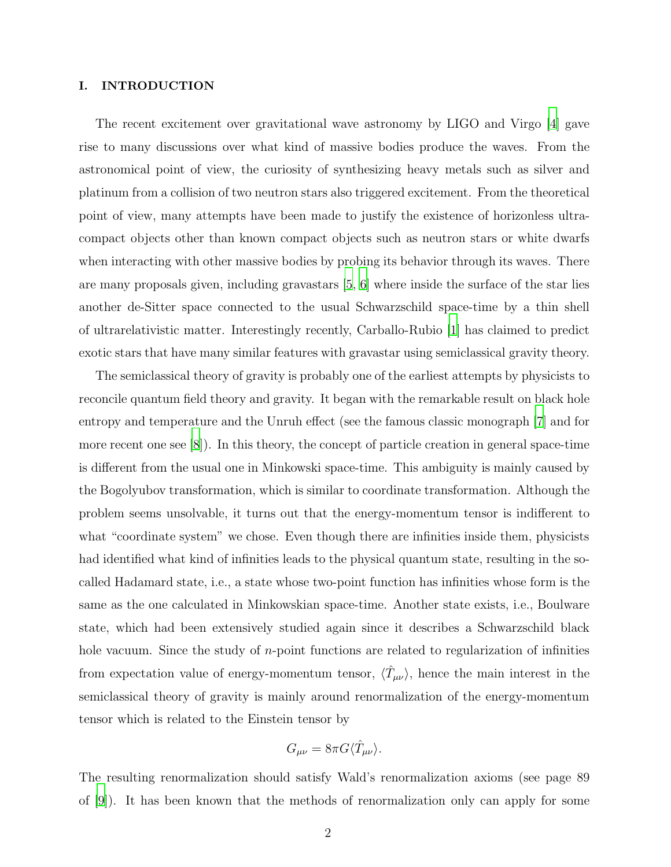# I. INTRODUCTION

The recent excitement over gravitational wave astronomy by LIGO and Virgo [\[4\]](#page-20-3) gave rise to many discussions over what kind of massive bodies produce the waves. From the astronomical point of view, the curiosity of synthesizing heavy metals such as silver and platinum from a collision of two neutron stars also triggered excitement. From the theoretical point of view, many attempts have been made to justify the existence of horizonless ultracompact objects other than known compact objects such as neutron stars or white dwarfs when interacting with other massive bodies by probing its behavior through its waves. There are many proposals given, including gravastars [\[5,](#page-20-4) [6\]](#page-20-5) where inside the surface of the star lies another de-Sitter space connected to the usual Schwarzschild space-time by a thin shell of ultrarelativistic matter. Interestingly recently, Carballo-Rubio [\[1\]](#page-20-0) has claimed to predict exotic stars that have many similar features with gravastar using semiclassical gravity theory.

The semiclassical theory of gravity is probably one of the earliest attempts by physicists to reconcile quantum field theory and gravity. It began with the remarkable result on black hole entropy and temperature and the Unruh effect (see the famous classic monograph [\[7\]](#page-21-0) and for more recent one see [\[8](#page-21-1)]). In this theory, the concept of particle creation in general space-time is different from the usual one in Minkowski space-time. This ambiguity is mainly caused by the Bogolyubov transformation, which is similar to coordinate transformation. Although the problem seems unsolvable, it turns out that the energy-momentum tensor is indifferent to what "coordinate system" we chose. Even though there are infinities inside them, physicists had identified what kind of infinities leads to the physical quantum state, resulting in the socalled Hadamard state, i.e., a state whose two-point function has infinities whose form is the same as the one calculated in Minkowskian space-time. Another state exists, i.e., Boulware state, which had been extensively studied again since it describes a Schwarzschild black hole vacuum. Since the study of *n*-point functions are related to regularization of infinities from expectation value of energy-momentum tensor,  $\langle \hat{T}_{\mu\nu} \rangle$ , hence the main interest in the semiclassical theory of gravity is mainly around renormalization of the energy-momentum tensor which is related to the Einstein tensor by

$$
G_{\mu\nu}=8\pi G\langle \hat{T}_{\mu\nu}\rangle.
$$

The resulting renormalization should satisfy Wald's renormalization axioms (see page 89 of [\[9](#page-21-2)]). It has been known that the methods of renormalization only can apply for some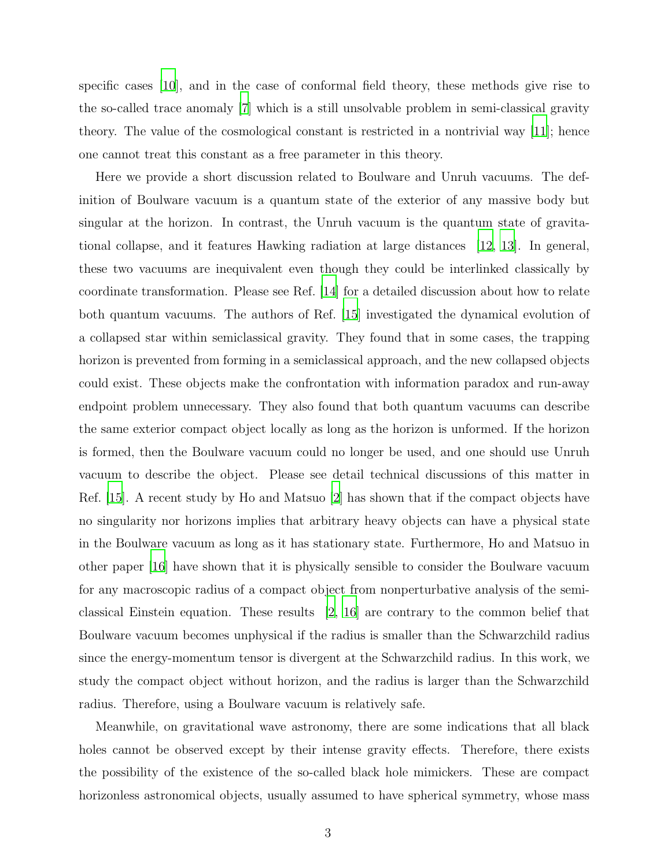specific cases [\[10](#page-21-3)], and in the case of conformal field theory, these methods give rise to the so-called trace anomaly [\[7\]](#page-21-0) which is a still unsolvable problem in semi-classical gravity theory. The value of the cosmological constant is restricted in a nontrivial way [\[11\]](#page-21-4); hence one cannot treat this constant as a free parameter in this theory.

Here we provide a short discussion related to Boulware and Unruh vacuums. The definition of Boulware vacuum is a quantum state of the exterior of any massive body but singular at the horizon. In contrast, the Unruh vacuum is the quantum state of gravitational collapse, and it features Hawking radiation at large distances [\[12,](#page-21-5) [13](#page-21-6)]. In general, these two vacuums are inequivalent even though they could be interlinked classically by coordinate transformation. Please see Ref. [\[14\]](#page-21-7) for a detailed discussion about how to relate both quantum vacuums. The authors of Ref. [\[15\]](#page-21-8) investigated the dynamical evolution of a collapsed star within semiclassical gravity. They found that in some cases, the trapping horizon is prevented from forming in a semiclassical approach, and the new collapsed objects could exist. These objects make the confrontation with information paradox and run-away endpoint problem unnecessary. They also found that both quantum vacuums can describe the same exterior compact object locally as long as the horizon is unformed. If the horizon is formed, then the Boulware vacuum could no longer be used, and one should use Unruh vacuum to describe the object. Please see detail technical discussions of this matter in Ref. [\[15](#page-21-8)]. A recent study by Ho and Matsuo [\[2\]](#page-20-1) has shown that if the compact objects have no singularity nor horizons implies that arbitrary heavy objects can have a physical state in the Boulware vacuum as long as it has stationary state. Furthermore, Ho and Matsuo in other paper [\[16\]](#page-21-9) have shown that it is physically sensible to consider the Boulware vacuum for any macroscopic radius of a compact object from nonperturbative analysis of the semiclassical Einstein equation. These results [\[2,](#page-20-1) [16](#page-21-9)] are contrary to the common belief that Boulware vacuum becomes unphysical if the radius is smaller than the Schwarzchild radius since the energy-momentum tensor is divergent at the Schwarzchild radius. In this work, we study the compact object without horizon, and the radius is larger than the Schwarzchild radius. Therefore, using a Boulware vacuum is relatively safe.

Meanwhile, on gravitational wave astronomy, there are some indications that all black holes cannot be observed except by their intense gravity effects. Therefore, there exists the possibility of the existence of the so-called black hole mimickers. These are compact horizonless astronomical objects, usually assumed to have spherical symmetry, whose mass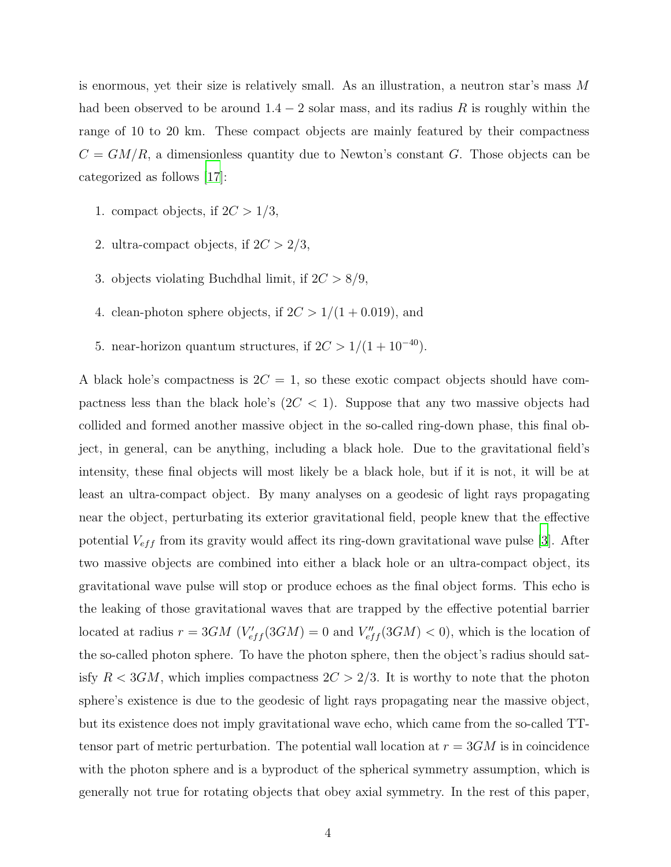is enormous, yet their size is relatively small. As an illustration, a neutron star's mass M had been observed to be around  $1.4 - 2$  solar mass, and its radius R is roughly within the range of 10 to 20 km. These compact objects are mainly featured by their compactness  $C = GM/R$ , a dimensionless quantity due to Newton's constant G. Those objects can be categorized as follows [\[17\]](#page-21-10):

- 1. compact objects, if  $2C > 1/3$ ,
- 2. ultra-compact objects, if  $2C > 2/3$ ,
- 3. objects violating Buchdhal limit, if  $2C > 8/9$ ,
- 4. clean-photon sphere objects, if  $2C > 1/(1 + 0.019)$ , and
- 5. near-horizon quantum structures, if  $2C > 1/(1 + 10^{-40})$ .

A black hole's compactness is  $2C = 1$ , so these exotic compact objects should have compactness less than the black hole's  $(2C < 1)$ . Suppose that any two massive objects had collided and formed another massive object in the so-called ring-down phase, this final object, in general, can be anything, including a black hole. Due to the gravitational field's intensity, these final objects will most likely be a black hole, but if it is not, it will be at least an ultra-compact object. By many analyses on a geodesic of light rays propagating near the object, perturbating its exterior gravitational field, people knew that the effective potential  $V_{eff}$  from its gravity would affect its ring-down gravitational wave pulse [\[3](#page-20-2)]. After two massive objects are combined into either a black hole or an ultra-compact object, its gravitational wave pulse will stop or produce echoes as the final object forms. This echo is the leaking of those gravitational waves that are trapped by the effective potential barrier located at radius  $r = 3GM$  ( $V'_{eff}(3GM) = 0$  and  $V''_{eff}(3GM) < 0$ ), which is the location of the so-called photon sphere. To have the photon sphere, then the object's radius should satisfy  $R < 3GM$ , which implies compactness  $2C > 2/3$ . It is worthy to note that the photon sphere's existence is due to the geodesic of light rays propagating near the massive object, but its existence does not imply gravitational wave echo, which came from the so-called TTtensor part of metric perturbation. The potential wall location at  $r = 3GM$  is in coincidence with the photon sphere and is a byproduct of the spherical symmetry assumption, which is generally not true for rotating objects that obey axial symmetry. In the rest of this paper,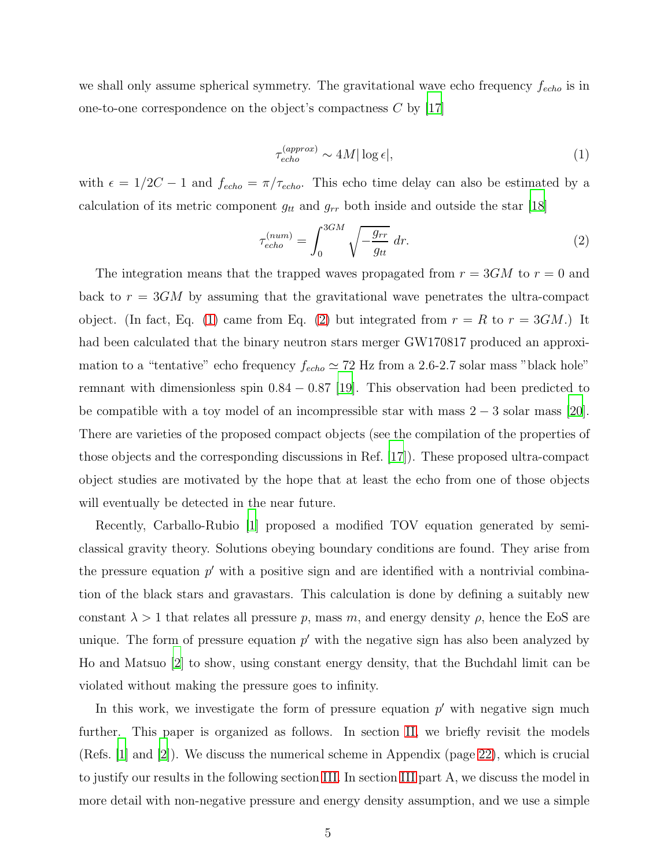we shall only assume spherical symmetry. The gravitational wave echo frequency  $f_{echo}$  is in one-to-one correspondence on the object's compactness  $C$  by [\[17\]](#page-21-10)

<span id="page-5-0"></span>
$$
\tau_{echo}^{(approx)} \sim 4M|\log \epsilon|,\tag{1}
$$

with  $\epsilon = 1/2C - 1$  and  $f_{echo} = \pi/\tau_{echo}$ . This echo time delay can also be estimated by a calculation of its metric component  $g_{tt}$  and  $g_{rr}$  both inside and outside the star [\[18\]](#page-21-11)

<span id="page-5-1"></span>
$$
\tau_{echo}^{(num)} = \int_0^{3GM} \sqrt{-\frac{g_{rr}}{g_{tt}}} dr.
$$
\n(2)

The integration means that the trapped waves propagated from  $r = 3GM$  to  $r = 0$  and back to  $r = 3GM$  by assuming that the gravitational wave penetrates the ultra-compact object. (In fact, Eq. [\(1\)](#page-5-0) came from Eq. [\(2\)](#page-5-1) but integrated from  $r = R$  to  $r = 3GM$ .) It had been calculated that the binary neutron stars merger GW170817 produced an approximation to a "tentative" echo frequency  $f_{echo} \simeq 72$  Hz from a 2.6-2.7 solar mass "black hole" remnant with dimensionless spin  $0.84 - 0.87$  [\[19](#page-21-12)]. This observation had been predicted to be compatible with a toy model of an incompressible star with mass  $2 - 3$  solar mass [\[20\]](#page-21-13). There are varieties of the proposed compact objects (see the compilation of the properties of those objects and the corresponding discussions in Ref. [\[17](#page-21-10)]). These proposed ultra-compact object studies are motivated by the hope that at least the echo from one of those objects will eventually be detected in the near future.

Recently, Carballo-Rubio [\[1](#page-20-0)] proposed a modified TOV equation generated by semiclassical gravity theory. Solutions obeying boundary conditions are found. They arise from the pressure equation  $p'$  with a positive sign and are identified with a nontrivial combination of the black stars and gravastars. This calculation is done by defining a suitably new constant  $\lambda > 1$  that relates all pressure p, mass m, and energy density  $\rho$ , hence the EoS are unique. The form of pressure equation  $p'$  with the negative sign has also been analyzed by Ho and Matsuo [\[2\]](#page-20-1) to show, using constant energy density, that the Buchdahl limit can be violated without making the pressure goes to infinity.

In this work, we investigate the form of pressure equation  $p'$  with negative sign much further. This paper is organized as follows. In section [II,](#page-6-0) we briefly revisit the models (Refs. [\[1](#page-20-0)] and [\[2](#page-20-1)]). We discuss the numerical scheme in Appendix (page [22\)](#page-22-0), which is crucial to justify our results in the following section [III.](#page-8-0) In section [III](#page-8-0) part A, we discuss the model in more detail with non-negative pressure and energy density assumption, and we use a simple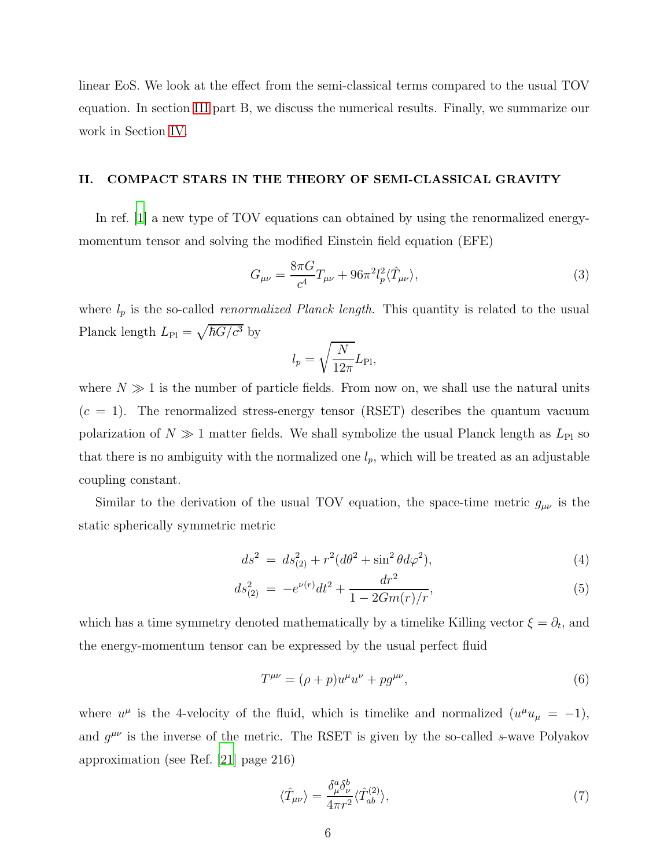linear EoS. We look at the effect from the semi-classical terms compared to the usual TOV equation. In section [III](#page-8-0) part B, we discuss the numerical results. Finally, we summarize our work in Section [IV.](#page-18-0)

### <span id="page-6-0"></span>II. COMPACT STARS IN THE THEORY OF SEMI-CLASSICAL GRAVITY

In ref. [\[1](#page-20-0)] a new type of TOV equations can obtained by using the renormalized energymomentum tensor and solving the modified Einstein field equation (EFE)

<span id="page-6-1"></span>
$$
G_{\mu\nu} = \frac{8\pi G}{c^4} T_{\mu\nu} + 96\pi^2 l_p^2 \langle \hat{T}_{\mu\nu} \rangle,\tag{3}
$$

where  $l_p$  is the so-called *renormalized Planck length*. This quantity is related to the usual Planck length  $L_{\text{Pl}} = \sqrt{\hbar G/c^3}$  by

$$
l_p = \sqrt{\frac{N}{12\pi}} L_{\text{Pl}},
$$

where  $N \gg 1$  is the number of particle fields. From now on, we shall use the natural units  $(c = 1)$ . The renormalized stress-energy tensor (RSET) describes the quantum vacuum polarization of  $N \gg 1$  matter fields. We shall symbolize the usual Planck length as  $L_{\text{Pl}}$  so that there is no ambiguity with the normalized one  $l_p$ , which will be treated as an adjustable coupling constant.

Similar to the derivation of the usual TOV equation, the space-time metric  $g_{\mu\nu}$  is the static spherically symmetric metric

$$
ds^2 = ds_{(2)}^2 + r^2(d\theta^2 + \sin^2\theta d\varphi^2),
$$
\n(4)

$$
ds_{(2)}^2 = -e^{\nu(r)}dt^2 + \frac{dr^2}{1 - 2Gm(r)/r},\tag{5}
$$

which has a time symmetry denoted mathematically by a timelike Killing vector  $\xi = \partial_t$ , and the energy-momentum tensor can be expressed by the usual perfect fluid

$$
T^{\mu\nu} = (\rho + p)u^{\mu}u^{\nu} + pg^{\mu\nu}, \tag{6}
$$

where  $u^{\mu}$  is the 4-velocity of the fluid, which is timelike and normalized  $(u^{\mu}u_{\mu} = -1)$ , and  $g^{\mu\nu}$  is the inverse of the metric. The RSET is given by the so-called s-wave Polyakov approximation (see Ref. [\[21\]](#page-21-14) page 216)

$$
\langle \hat{T}_{\mu\nu} \rangle = \frac{\delta^a_\mu \delta^b_\nu}{4\pi r^2} \langle \hat{T}^{(2)}_{ab} \rangle,\tag{7}
$$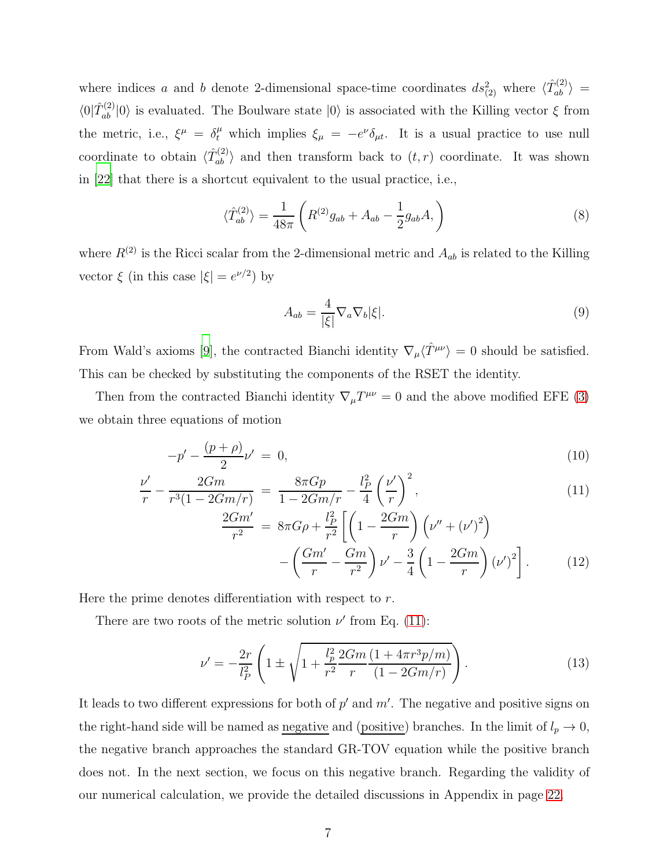where indices a and b denote 2-dimensional space-time coordinates  $ds_{(2)}^2$  where  $\langle \hat{T}_{ab}^{(2)} \rangle$  =  $\langle 0|\hat{T}_{ab}^{(2)}|0\rangle$  is evaluated. The Boulware state  $|0\rangle$  is associated with the Killing vector  $\xi$  from the metric, i.e.,  $\xi^{\mu} = \delta^{\mu}_{t}$  which implies  $\xi_{\mu} = -e^{\nu} \delta_{\mu t}$ . It is a usual practice to use null coordinate to obtain  $\langle \hat{T}_{ab}^{(2)} \rangle$  and then transform back to  $(t, r)$  coordinate. It was shown in [\[22\]](#page-21-15) that there is a shortcut equivalent to the usual practice, i.e.,

$$
\langle \hat{T}_{ab}^{(2)} \rangle = \frac{1}{48\pi} \left( R^{(2)} g_{ab} + A_{ab} - \frac{1}{2} g_{ab} A, \right) \tag{8}
$$

where  $R^{(2)}$  is the Ricci scalar from the 2-dimensional metric and  $A_{ab}$  is related to the Killing vector  $\xi$  (in this case  $|\xi| = e^{\nu/2}$ ) by

$$
A_{ab} = \frac{4}{|\xi|} \nabla_a \nabla_b |\xi|.
$$
\n(9)

From Wald's axioms [\[9](#page-21-2)], the contracted Bianchi identity  $\nabla_{\mu}\langle \hat{T}^{\mu\nu}\rangle = 0$  should be satisfied. This can be checked by substituting the components of the RSET the identity.

Then from the contracted Bianchi identity  $\nabla_{\mu}T^{\mu\nu} = 0$  and the above modified EFE [\(3\)](#page-6-1) we obtain three equations of motion

<span id="page-7-0"></span>
$$
-p' - \frac{(p+\rho)}{2}\nu' = 0,\t\t(10)
$$

$$
\frac{\nu'}{r} - \frac{2Gm}{r^3(1 - 2Gm/r)} = \frac{8\pi Gp}{1 - 2Gm/r} - \frac{l_P^2}{4} \left(\frac{\nu'}{r}\right)^2,\tag{11}
$$

$$
\frac{2Gm'}{r^2} = 8\pi G\rho + \frac{l_P^2}{r^2} \left[ \left( 1 - \frac{2Gm}{r} \right) \left( \nu'' + (\nu')^2 \right) - \left( \frac{Gm'}{r} - \frac{Gm}{r^2} \right) \nu' - \frac{3}{4} \left( 1 - \frac{2Gm}{r} \right) (\nu')^2 \right].
$$
 (12)

Here the prime denotes differentiation with respect to r.

There are two roots of the metric solution  $\nu'$  from Eq. [\(11\)](#page-7-0):

<span id="page-7-1"></span>
$$
\nu' = -\frac{2r}{l_P^2} \left( 1 \pm \sqrt{1 + \frac{l_P^2}{r^2} \frac{2Gm}{r} \frac{(1 + 4\pi r^3 p/m)}{(1 - 2Gm/r)}} \right). \tag{13}
$$

It leads to two different expressions for both of  $p'$  and  $m'$ . The negative and positive signs on the right-hand side will be named as <u>negative</u> and (positive) branches. In the limit of  $l_p \to 0$ , the negative branch approaches the standard GR-TOV equation while the positive branch does not. In the next section, we focus on this negative branch. Regarding the validity of our numerical calculation, we provide the detailed discussions in Appendix in page [22.](#page-22-0)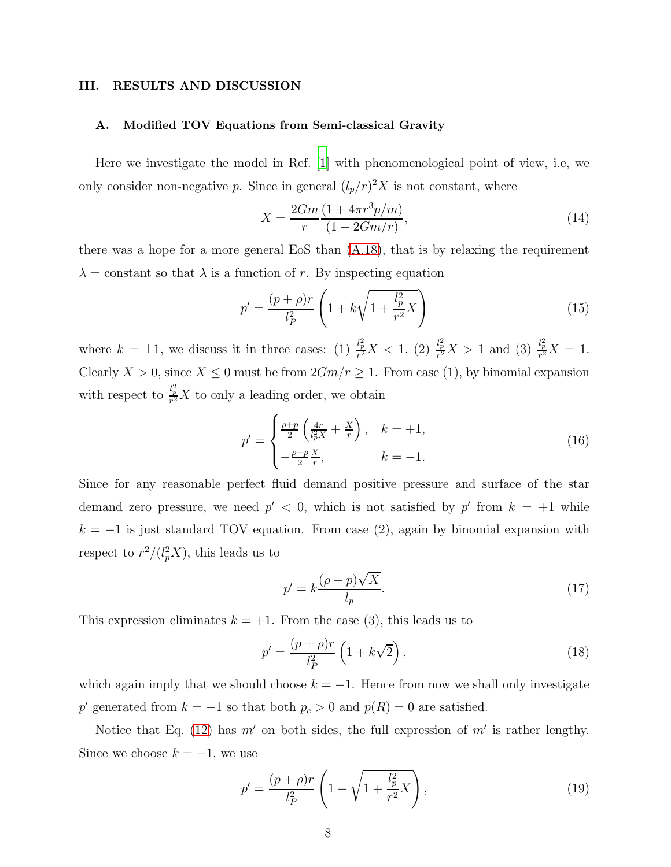#### <span id="page-8-0"></span>III. RESULTS AND DISCUSSION

#### A. Modified TOV Equations from Semi-classical Gravity

Here we investigate the model in Ref. [\[1\]](#page-20-0) with phenomenological point of view, i.e, we only consider non-negative p. Since in general  $(l_p/r)^2 X$  is not constant, where

$$
X = \frac{2Gm}{r} \frac{(1 + 4\pi r^3 p/m)}{(1 - 2Gm/r)},
$$
\n(14)

there was a hope for a more general EoS than  $(A.18)$ , that is by relaxing the requirement  $\lambda$  = constant so that  $\lambda$  is a function of r. By inspecting equation

$$
p' = \frac{(p+\rho)r}{l_P^2} \left( 1 + k\sqrt{1 + \frac{l_p^2}{r^2} X} \right)
$$
 (15)

where  $k = \pm 1$ , we discuss it in three cases: (1)  $\frac{l_p^2}{r^2}X < 1$ , (2)  $\frac{l_p^2}{r^2}X > 1$  and (3)  $\frac{l_p^2}{r^2}X = 1$ . Clearly  $X > 0$ , since  $X \le 0$  must be from  $2Gm/r \ge 1$ . From case (1), by binomial expansion with respect to  $\frac{l_p^2}{r^2}X$  to only a leading order, we obtain

$$
p' = \begin{cases} \frac{\rho + p}{2} \left( \frac{4r}{l_p^2 X} + \frac{X}{r} \right), & k = +1, \\ -\frac{\rho + p}{2} \frac{X}{r}, & k = -1. \end{cases}
$$
 (16)

Since for any reasonable perfect fluid demand positive pressure and surface of the star demand zero pressure, we need  $p' < 0$ , which is not satisfied by p' from  $k = +1$  while  $k = -1$  is just standard TOV equation. From case (2), again by binomial expansion with respect to  $r^2/(l_p^2X)$ , this leads us to

$$
p' = k \frac{(\rho + p)\sqrt{X}}{l_p}.\tag{17}
$$

This expression eliminates  $k = +1$ . From the case (3), this leads us to

$$
p' = \frac{(p+\rho)r}{l_P^2} \left(1 + k\sqrt{2}\right),\tag{18}
$$

which again imply that we should choose  $k = -1$ . Hence from now we shall only investigate  $p'$  generated from  $k = -1$  so that both  $p_c > 0$  and  $p(R) = 0$  are satisfied.

Notice that Eq. [\(12\)](#page-7-0) has  $m'$  on both sides, the full expression of  $m'$  is rather lengthy. Since we choose  $k = -1$ , we use

<span id="page-8-1"></span>
$$
p' = \frac{(p+\rho)r}{l_P^2} \left( 1 - \sqrt{1 + \frac{l_P^2}{r^2} X} \right),\tag{19}
$$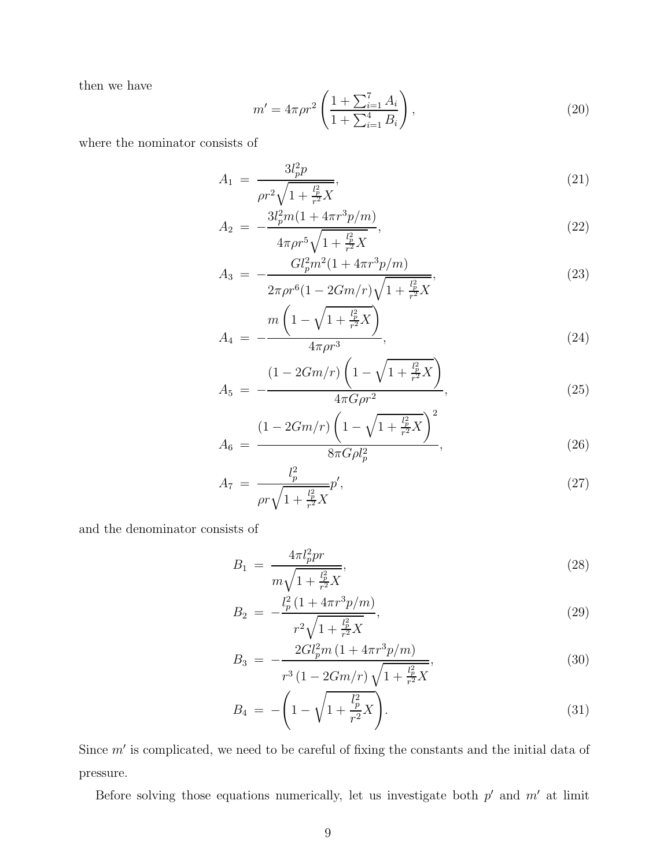then we have

<span id="page-9-0"></span>
$$
m' = 4\pi \rho r^2 \left( \frac{1 + \sum_{i=1}^7 A_i}{1 + \sum_{i=1}^4 B_i} \right),
$$
\n(20)

where the nominator consists of

$$
A_1 = \frac{3l_p^2 p}{\rho r^2 \sqrt{1 + \frac{l_p^2}{r^2} X}},\tag{21}
$$

$$
A_2 = -\frac{3l_p^2m(1 + 4\pi r^3p/m)}{4\pi\rho r^5\sqrt{1 + \frac{l_p^2}{r^2}X}},\tag{22}
$$

$$
A_3 = -\frac{Gl_p^2m^2(1+4\pi r^3p/m)}{2\pi \rho r^6(1-2Gm/r)\sqrt{1+\frac{l_p^2}{r^2}X}},\tag{23}
$$

$$
A_4 = -\frac{m\left(1 - \sqrt{1 + \frac{l_p^2}{r^2}X}\right)}{4\pi\rho r^3},\tag{24}
$$

$$
A_5 = -\frac{(1 - 2Gm/r)\left(1 - \sqrt{1 + \frac{l_p^2}{r^2}X}\right)}{4\pi G\rho r^2},\tag{25}
$$

$$
A_6 = \frac{(1 - 2Gm/r)\left(1 - \sqrt{1 + \frac{l_p^2}{r^2}X}\right)^2}{8\pi G\rho l_p^2},\tag{26}
$$

$$
A_7 = \frac{l_p^2}{\rho r \sqrt{1 + \frac{l_p^2}{r^2} X}} p',\tag{27}
$$

and the denominator consists of

<span id="page-9-1"></span>
$$
B_1 = \frac{4\pi l_p^2 pr}{m\sqrt{1 + \frac{l_p^2}{r^2}X}},\tag{28}
$$

$$
B_2 = -\frac{l_p^2 \left(1 + 4\pi r^3 p/m\right)}{r^2 \sqrt{1 + \frac{l_p^2}{r^2} X}},\tag{29}
$$

$$
B_3 = -\frac{2Gl_p^2m\left(1 + 4\pi r^3p/m\right)}{r^3\left(1 - 2Gm/r\right)\sqrt{1 + \frac{l_p^2}{r^2}X}},\tag{30}
$$

$$
B_4 = -\left(1 - \sqrt{1 + \frac{l_p^2}{r^2}X}\right).
$$
\n(31)

Since  $m'$  is complicated, we need to be careful of fixing the constants and the initial data of pressure.

Before solving those equations numerically, let us investigate both  $p'$  and  $m'$  at limit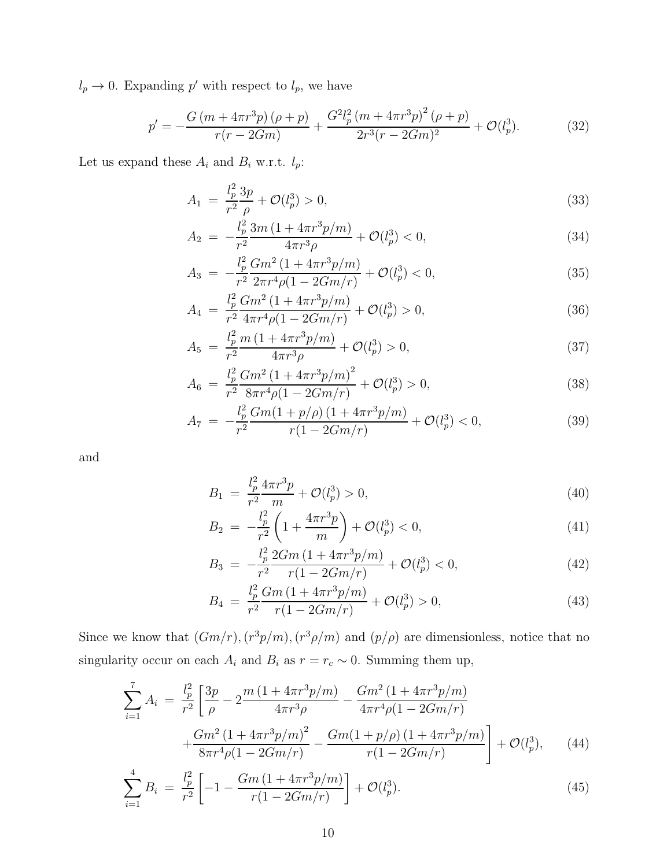$l_p \to 0$ . Expanding p' with respect to  $l_p$ , we have

<span id="page-10-1"></span>
$$
p' = -\frac{G\left(m + 4\pi r^3 p\right)\left(\rho + p\right)}{r(r - 2Gm)} + \frac{G^2 l_p^2 \left(m + 4\pi r^3 p\right)^2 \left(\rho + p\right)}{2r^3 (r - 2Gm)^2} + \mathcal{O}(l_p^3). \tag{32}
$$

Let us expand these  $A_i$  and  $B_i$  w.r.t.  $l_p\!\!:$ 

$$
A_1 = \frac{l_p^2}{r^2} \frac{3p}{\rho} + \mathcal{O}(l_p^3) > 0,
$$
\n(33)

$$
A_2 = -\frac{l_p^2}{r^2} \frac{3m\left(1 + 4\pi r^3 p/m\right)}{4\pi r^3 \rho} + \mathcal{O}(l_p^3) < 0,\tag{34}
$$

$$
A_3 = -\frac{l_p^2}{r^2} \frac{Gm^2 (1 + 4\pi r^3 p/m)}{2\pi r^4 \rho (1 - 2Gm/r)} + \mathcal{O}(l_p^3) < 0,\tag{35}
$$

$$
A_4 = \frac{l_p^2 Gm^2 (1 + 4\pi r^3 p/m)}{r^2 4\pi r^4 \rho (1 - 2Gm/r)} + \mathcal{O}(l_p^3) > 0,
$$
\n(36)

$$
A_5 = \frac{l_p^2}{r^2} \frac{m\left(1 + 4\pi r^3 p/m\right)}{4\pi r^3 \rho} + \mathcal{O}(l_p^3) > 0,\tag{37}
$$

$$
A_6 = \frac{l_p^2}{r^2} \frac{Gm^2 \left(1 + 4\pi r^3 p/m\right)^2}{8\pi r^4 \rho (1 - 2Gm/r)} + \mathcal{O}(l_p^3) > 0,
$$
\n(38)

$$
A_7 = -\frac{l_p^2}{r^2} \frac{Gm(1+p/\rho)(1+4\pi r^3 p/m)}{r(1-2Gm/r)} + \mathcal{O}(l_p^3) < 0,\tag{39}
$$

and

$$
B_1 = \frac{l_p^2}{r^2} \frac{4\pi r^3 p}{m} + \mathcal{O}(l_p^3) > 0,
$$
\n(40)

$$
B_2 = -\frac{l_p^2}{r^2} \left( 1 + \frac{4\pi r^3 p}{m} \right) + \mathcal{O}(l_p^3) < 0,\tag{41}
$$

$$
B_3 = -\frac{l_p^2}{r^2} \frac{2Gm\left(1 + 4\pi r^3 p/m\right)}{r(1 - 2Gm/r)} + \mathcal{O}(l_p^3) < 0,\tag{42}
$$

$$
B_4 = \frac{l_p^2}{r^2} \frac{Gm \left(1 + 4\pi r^3 p/m\right)}{r \left(1 - 2Gm/r\right)} + \mathcal{O}(l_p^3) > 0,\tag{43}
$$

Since we know that  $(Gm/r)$ ,  $(r^3p/m)$ ,  $(r^3\rho/m)$  and  $(p/\rho)$  are dimensionless, notice that no singularity occur on each  $A_i$  and  $B_i$  as  $r = r_c \sim 0$ . Summing them up,

<span id="page-10-0"></span>
$$
\sum_{i=1}^{7} A_i = \frac{l_p^2}{r^2} \left[ \frac{3p}{\rho} - 2 \frac{m \left( 1 + 4\pi r^3 p/m \right)}{4\pi r^3 \rho} - \frac{Gm^2 \left( 1 + 4\pi r^3 p/m \right)}{4\pi r^4 \rho (1 - 2Gm/r)} + \frac{Gm^2 \left( 1 + 4\pi r^3 p/m \right)^2}{8\pi r^4 \rho (1 - 2Gm/r)} - \frac{Gm \left( 1 + p/\rho \right) \left( 1 + 4\pi r^3 p/m \right)}{r \left( 1 - 2Gm/r \right)} \right] + \mathcal{O}(l_p^3), \tag{44}
$$

$$
\sum_{i=1}^{4} B_i = \frac{l_p^2}{r^2} \left[ -1 - \frac{Gm \left( 1 + 4\pi r^3 p/m \right)}{r \left( 1 - 2Gm/r \right)} \right] + \mathcal{O}(l_p^3). \tag{45}
$$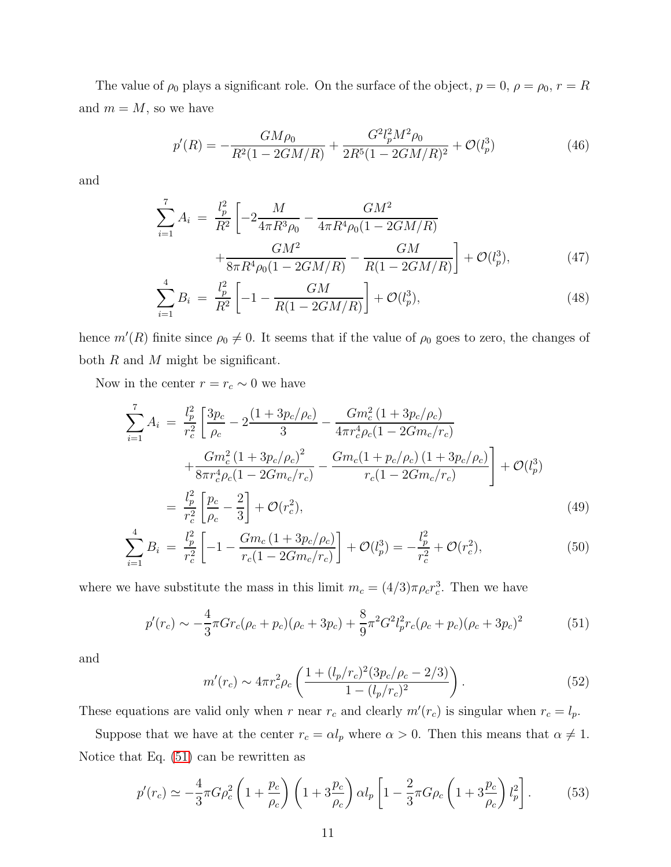The value of  $\rho_0$  plays a significant role. On the surface of the object,  $p = 0$ ,  $\rho = \rho_0$ ,  $r = R$ and  $m = M$ , so we have

$$
p'(R) = -\frac{GM\rho_0}{R^2(1 - 2GM/R)} + \frac{G^2 l_p^2 M^2 \rho_0}{2R^5(1 - 2GM/R)^2} + \mathcal{O}(l_p^3)
$$
(46)

and

$$
\sum_{i=1}^{7} A_i = \frac{l_p^2}{R^2} \left[ -2\frac{M}{4\pi R^3 \rho_0} - \frac{GM^2}{4\pi R^4 \rho_0 (1 - 2GM/R)} + \frac{GM^2}{8\pi R^4 \rho_0 (1 - 2GM/R)} - \frac{GM}{R(1 - 2GM/R)} \right] + \mathcal{O}(l_p^3),\tag{47}
$$

$$
\sum_{i=1}^{4} B_i = \frac{l_p^2}{R^2} \left[ -1 - \frac{GM}{R(1 - 2GM/R)} \right] + \mathcal{O}(l_p^3),\tag{48}
$$

hence  $m'(R)$  finite since  $\rho_0 \neq 0$ . It seems that if the value of  $\rho_0$  goes to zero, the changes of both  $R$  and  $M$  might be significant.

Now in the center  $r = r_c \sim 0$  we have

$$
\sum_{i=1}^{7} A_i = \frac{l_p^2}{r_c^2} \left[ \frac{3p_c}{\rho_c} - 2 \frac{(1 + 3p_c/\rho_c)}{3} - \frac{Gm_c^2 (1 + 3p_c/\rho_c)}{4\pi r_c^4 \rho_c (1 - 2Gm_c/r_c)} + \frac{Gm_c^2 (1 + 3p_c/\rho_c)^2}{8\pi r_c^4 \rho_c (1 - 2Gm_c/r_c)} - \frac{Gm_c (1 + p_c/\rho_c) (1 + 3p_c/\rho_c)}{r_c (1 - 2Gm_c/r_c)} \right] + \mathcal{O}(l_p^3)
$$
\n
$$
= \frac{l_p^2}{r^2} \left[ \frac{p_c}{\rho_c} - \frac{2}{3} \right] + \mathcal{O}(r_c^2),\tag{49}
$$

$$
= \frac{1}{r_c^2} \left[ \frac{1}{\rho_c} - \frac{1}{3} \right] + O(r_c^2),
$$
\n
$$
\sum_{i=1}^4 B_i = \frac{l_p^2}{r_c^2} \left[ -1 - \frac{Gm_c \left( 1 + 3p_c/\rho_c \right)}{r_c \left( 1 - 2Gm_c/r_c \right)} \right] + \mathcal{O}(l_p^3) = -\frac{l_p^2}{r_c^2} + \mathcal{O}(r_c^2),
$$
\n(50)

where we have substitute the mass in this limit  $m_c = (4/3)\pi \rho_c r_c^3$ . Then we have

<span id="page-11-0"></span>
$$
p'(r_c) \sim -\frac{4}{3}\pi G r_c (\rho_c + p_c)(\rho_c + 3p_c) + \frac{8}{9}\pi^2 G^2 l_p^2 r_c (\rho_c + p_c)(\rho_c + 3p_c)^2 \tag{51}
$$

and

<span id="page-11-2"></span>
$$
m'(r_c) \sim 4\pi r_c^2 \rho_c \left( \frac{1 + (l_p/r_c)^2 (3p_c/\rho_c - 2/3)}{1 - (l_p/r_c)^2} \right). \tag{52}
$$

These equations are valid only when r near  $r_c$  and clearly  $m'(r_c)$  is singular when  $r_c = l_p$ .

Suppose that we have at the center  $r_c = \alpha l_p$  where  $\alpha > 0$ . Then this means that  $\alpha \neq 1$ . Notice that Eq. [\(51\)](#page-11-0) can be rewritten as

<span id="page-11-1"></span>
$$
p'(r_c) \simeq -\frac{4}{3}\pi G\rho_c^2 \left(1 + \frac{p_c}{\rho_c}\right) \left(1 + 3\frac{p_c}{\rho_c}\right) \alpha l_p \left[1 - \frac{2}{3}\pi G\rho_c \left(1 + 3\frac{p_c}{\rho_c}\right) l_p^2\right].
$$
 (53)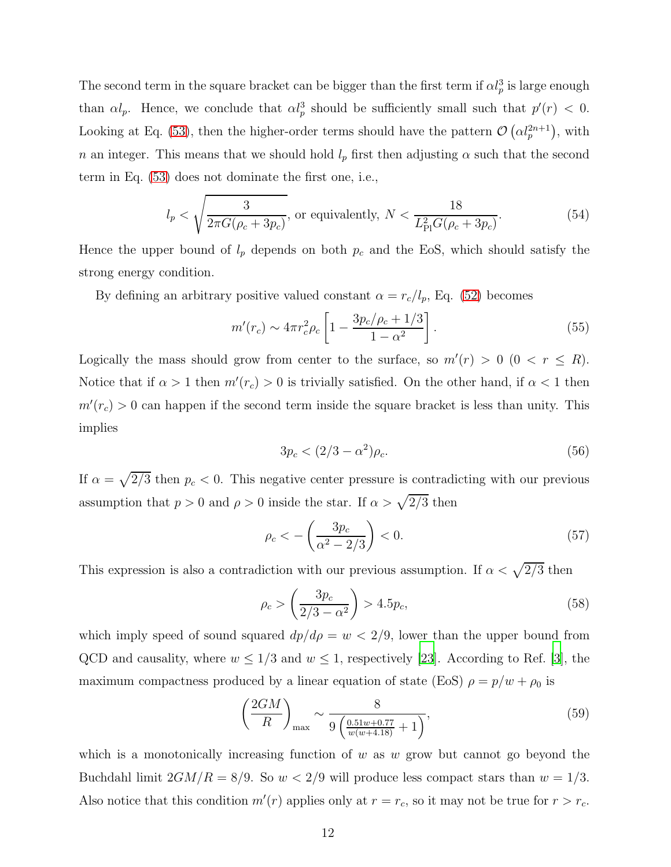The second term in the square bracket can be bigger than the first term if  $\alpha l_p^3$  is large enough than  $\alpha l_p$ . Hence, we conclude that  $\alpha l_p^3$  should be sufficiently small such that  $p'(r) < 0$ . Looking at Eq. [\(53\)](#page-11-1), then the higher-order terms should have the pattern  $\mathcal{O}\left(\alpha l_p^{2n+1}\right)$ , with n an integer. This means that we should hold  $l_p$  first then adjusting  $\alpha$  such that the second term in Eq. [\(53\)](#page-11-1) does not dominate the first one, i.e.,

<span id="page-12-0"></span>
$$
l_p < \sqrt{\frac{3}{2\pi G(\rho_c + 3p_c)}}, \text{ or equivalently, } N < \frac{18}{L_{\rm Pl}^2 G(\rho_c + 3p_c)}.\tag{54}
$$

Hence the upper bound of  $l_p$  depends on both  $p_c$  and the EoS, which should satisfy the strong energy condition.

By defining an arbitrary positive valued constant  $\alpha = r_c/l_p$ , Eq. [\(52\)](#page-11-2) becomes

$$
m'(r_c) \sim 4\pi r_c^2 \rho_c \left[ 1 - \frac{3p_c/\rho_c + 1/3}{1 - \alpha^2} \right].
$$
 (55)

Logically the mass should grow from center to the surface, so  $m'(r) > 0$   $(0 < r \le R)$ . Notice that if  $\alpha > 1$  then  $m'(r_c) > 0$  is trivially satisfied. On the other hand, if  $\alpha < 1$  then  $m'(r_c) > 0$  can happen if the second term inside the square bracket is less than unity. This implies

$$
3p_c < (2/3 - \alpha^2)\rho_c. \tag{56}
$$

If  $\alpha = \sqrt{2/3}$  then  $p_c < 0$ . This negative center pressure is contradicting with our previous assumption that  $p > 0$  and  $\rho > 0$  inside the star. If  $\alpha > \sqrt{2/3}$  then

$$
\rho_c < -\left(\frac{3p_c}{\alpha^2 - 2/3}\right) < 0. \tag{57}
$$

This expression is also a contradiction with our previous assumption. If  $\alpha < \sqrt{2/3}$  then

$$
\rho_c > \left(\frac{3p_c}{2/3 - \alpha^2}\right) > 4.5p_c,\tag{58}
$$

which imply speed of sound squared  $dp/d\rho = w < 2/9$ , lower than the upper bound from QCD and causality, where  $w \leq 1/3$  and  $w \leq 1$ , respectively [\[23\]](#page-22-1). According to Ref. [\[3\]](#page-20-2), the maximum compactness produced by a linear equation of state (EoS)  $\rho = p/w + \rho_0$  is

$$
\left(\frac{2GM}{R}\right)_{\text{max}} \sim \frac{8}{9\left(\frac{0.51w + 0.77}{w(w + 4.18)} + 1\right)},\tag{59}
$$

which is a monotonically increasing function of  $w$  as  $w$  grow but cannot go beyond the Buchdahl limit  $2GM/R = 8/9$ . So  $w < 2/9$  will produce less compact stars than  $w = 1/3$ . Also notice that this condition  $m'(r)$  applies only at  $r = r_c$ , so it may not be true for  $r > r_c$ .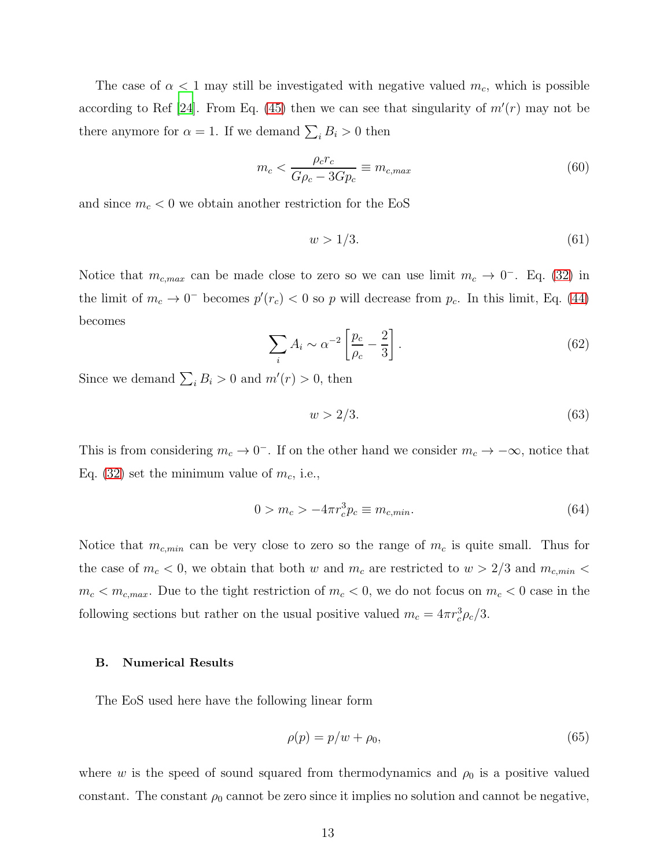The case of  $\alpha < 1$  may still be investigated with negative valued  $m_c$ , which is possible according to Ref [\[24\]](#page-22-2). From Eq. [\(45\)](#page-10-0) then we can see that singularity of  $m'(r)$  may not be there anymore for  $\alpha = 1$ . If we demand  $\sum_i B_i > 0$  then

<span id="page-13-1"></span>
$$
m_c < \frac{\rho_c r_c}{G \rho_c - 3G p_c} \equiv m_{c,max} \tag{60}
$$

and since  $m_c < 0$  we obtain another restriction for the EoS

$$
w > 1/3. \tag{61}
$$

Notice that  $m_{c,max}$  can be made close to zero so we can use limit  $m_c \to 0^-$ . Eq. [\(32\)](#page-10-1) in the limit of  $m_c \to 0^-$  becomes  $p'(r_c) < 0$  so p will decrease from  $p_c$ . In this limit, Eq. [\(44\)](#page-10-0) becomes

$$
\sum_{i} A_i \sim \alpha^{-2} \left[ \frac{p_c}{\rho_c} - \frac{2}{3} \right]. \tag{62}
$$

Since we demand  $\sum_i B_i > 0$  and  $m'(r) > 0$ , then

$$
w > 2/3. \tag{63}
$$

This is from considering  $m_c \to 0^-$ . If on the other hand we consider  $m_c \to -\infty$ , notice that Eq. [\(32\)](#page-10-1) set the minimum value of  $m_c$ , i.e.,

<span id="page-13-0"></span>
$$
0 > m_c > -4\pi r_c^3 p_c \equiv m_{c,min}.
$$
\n(64)

Notice that  $m_{c,min}$  can be very close to zero so the range of  $m_c$  is quite small. Thus for the case of  $m_c < 0$ , we obtain that both w and  $m_c$  are restricted to  $w > 2/3$  and  $m_{c,min} <$  $m_c < m_{c,max}$ . Due to the tight restriction of  $m_c < 0$ , we do not focus on  $m_c < 0$  case in the following sections but rather on the usual positive valued  $m_c = 4\pi r_c^3 \rho_c/3$ .

# B. Numerical Results

The EoS used here have the following linear form

$$
\rho(p) = p/w + \rho_0,\tag{65}
$$

where w is the speed of sound squared from thermodynamics and  $\rho_0$  is a positive valued constant. The constant  $\rho_0$  cannot be zero since it implies no solution and cannot be negative,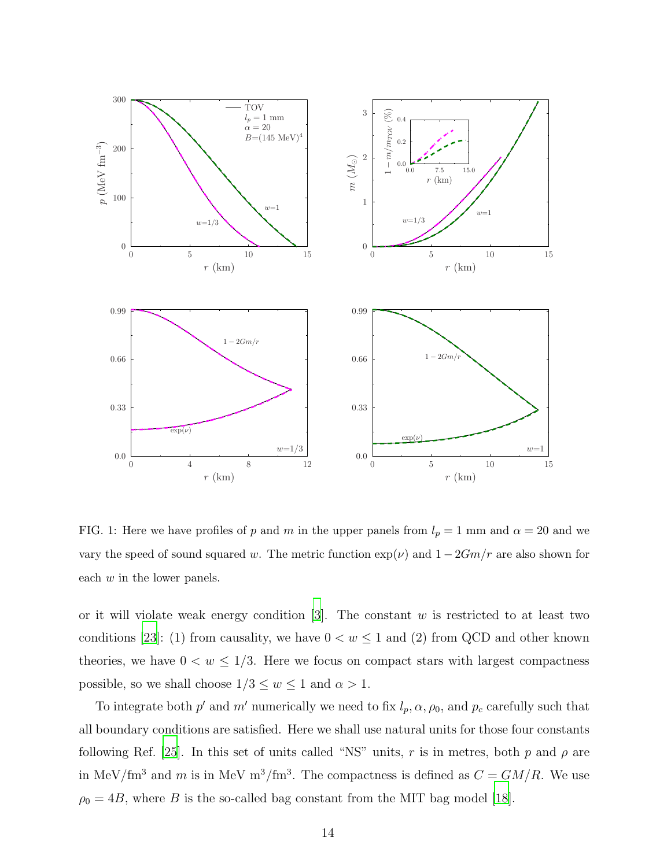

<span id="page-14-0"></span>FIG. 1: Here we have profiles of p and m in the upper panels from  $l_p = 1$  mm and  $\alpha = 20$  and we vary the speed of sound squared w. The metric function  $\exp(\nu)$  and  $1 - 2Gm/r$  are also shown for each w in the lower panels.

or it will violate weak energy condition  $[3]$ . The constant w is restricted to at least two conditions [\[23\]](#page-22-1): (1) from causality, we have  $0 < w \le 1$  and (2) from QCD and other known theories, we have  $0 < w \leq 1/3$ . Here we focus on compact stars with largest compactness possible, so we shall choose  $1/3 \leq w \leq 1$  and  $\alpha > 1.$ 

To integrate both  $p'$  and  $m'$  numerically we need to fix  $l_p, \alpha, \rho_0$ , and  $p_c$  carefully such that all boundary conditions are satisfied. Here we shall use natural units for those four constants following Ref. [\[25\]](#page-22-3). In this set of units called "NS" units, r is in metres, both p and  $\rho$  are in MeV/fm<sup>3</sup> and m is in MeV m<sup>3</sup>/fm<sup>3</sup>. The compactness is defined as  $C = GM/R$ . We use  $\rho_0 = 4B$ , where B is the so-called bag constant from the MIT bag model [\[18](#page-21-11)].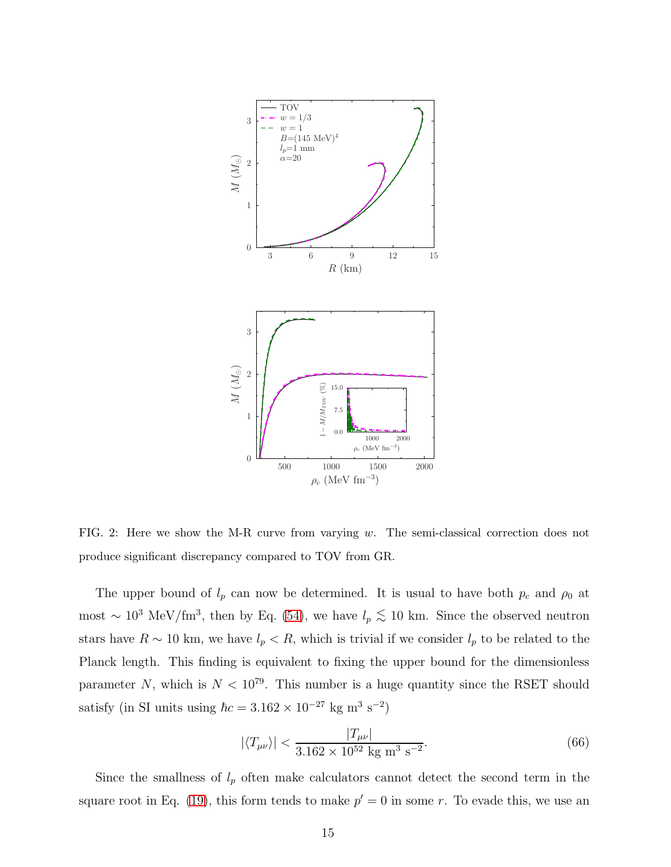

<span id="page-15-0"></span>FIG. 2: Here we show the M-R curve from varying  $w$ . The semi-classical correction does not produce significant discrepancy compared to TOV from GR.

The upper bound of  $l_p$  can now be determined. It is usual to have both  $p_c$  and  $\rho_0$  at most ~  $10^3$  MeV/fm<sup>3</sup>, then by Eq. [\(54\)](#page-12-0), we have  $l_p \lesssim 10$  km. Since the observed neutron stars have  $R \sim 10$  km, we have  $l_p < R$ , which is trivial if we consider  $l_p$  to be related to the Planck length. This finding is equivalent to fixing the upper bound for the dimensionless parameter N, which is  $N < 10^{79}$ . This number is a huge quantity since the RSET should satisfy (in SI units using  $\hbar c = 3.162 \times 10^{-27}$  kg m<sup>3</sup> s<sup>-2</sup>)

$$
|\langle T_{\mu\nu} \rangle| < \frac{|T_{\mu\nu}|}{3.162 \times 10^{52} \text{ kg m}^3 \text{ s}^{-2}}.\tag{66}
$$

Since the smallness of  $l_p$  often make calculators cannot detect the second term in the square root in Eq. [\(19\)](#page-8-1), this form tends to make  $p' = 0$  in some r. To evade this, we use an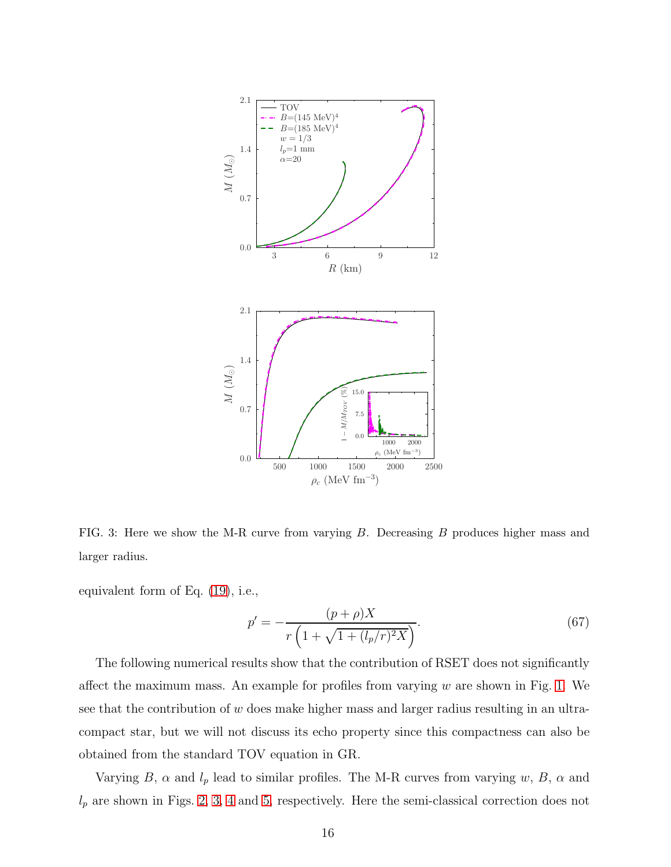

<span id="page-16-0"></span>FIG. 3: Here we show the M-R curve from varying B. Decreasing B produces higher mass and larger radius.

equivalent form of Eq. [\(19\)](#page-8-1), i.e.,

$$
p' = -\frac{(p+\rho)X}{r\left(1 + \sqrt{1 + (l_p/r)^2 X}\right)}.\tag{67}
$$

The following numerical results show that the contribution of RSET does not significantly affect the maximum mass. An example for profiles from varying  $w$  are shown in Fig. [1.](#page-14-0) We see that the contribution of w does make higher mass and larger radius resulting in an ultracompact star, but we will not discuss its echo property since this compactness can also be obtained from the standard TOV equation in GR.

Varying B,  $\alpha$  and  $l_p$  lead to similar profiles. The M-R curves from varying w, B,  $\alpha$  and  $l_p$  are shown in Figs. [2,](#page-15-0) [3,](#page-16-0) [4](#page-17-0) and [5,](#page-18-1) respectively. Here the semi-classical correction does not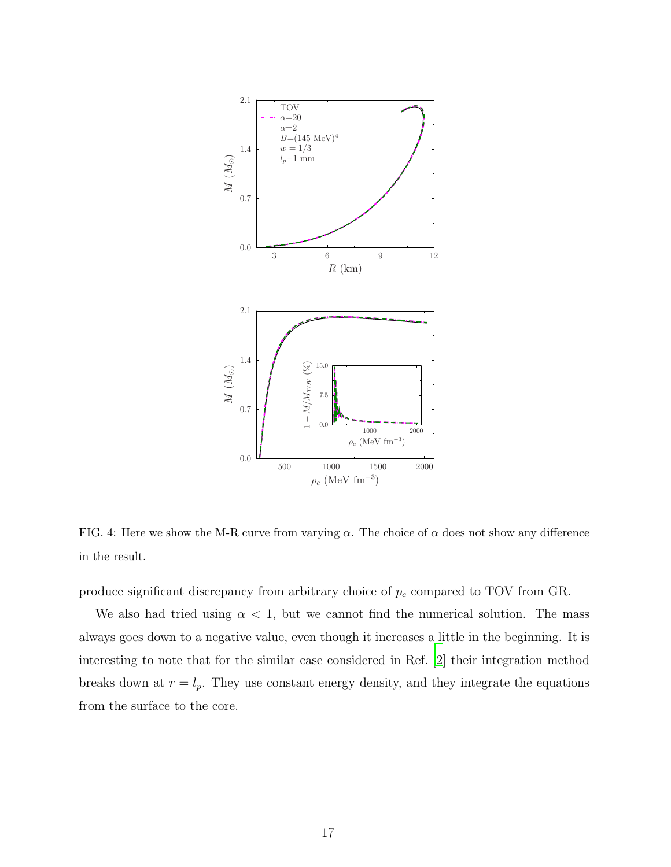

<span id="page-17-0"></span>FIG. 4: Here we show the M-R curve from varying  $\alpha$ . The choice of  $\alpha$  does not show any difference in the result.

produce significant discrepancy from arbitrary choice of  $p_c$  compared to TOV from GR.

We also had tried using  $\alpha < 1$ , but we cannot find the numerical solution. The mass always goes down to a negative value, even though it increases a little in the beginning. It is interesting to note that for the similar case considered in Ref. [\[2](#page-20-1)] their integration method breaks down at  $r = l_p$ . They use constant energy density, and they integrate the equations from the surface to the core.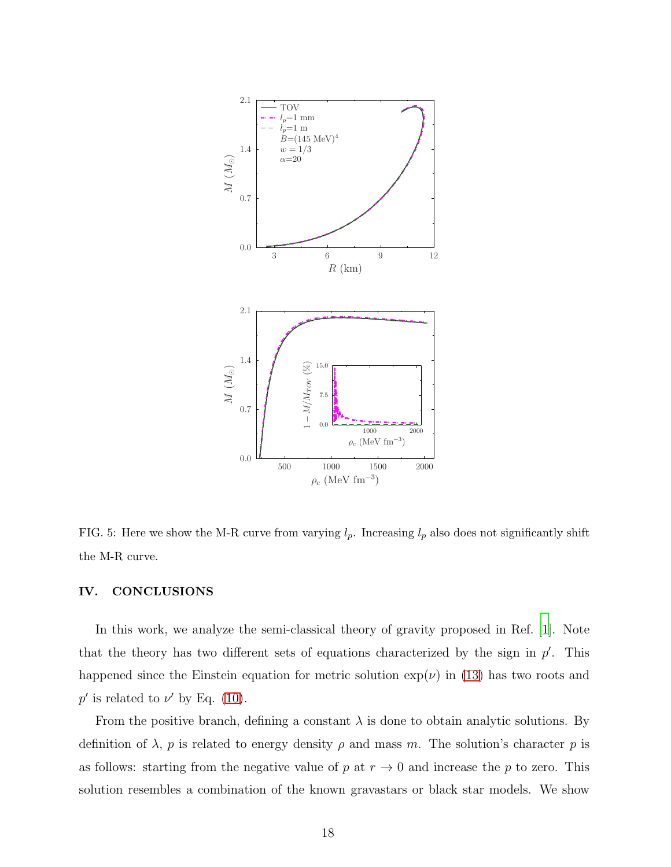

<span id="page-18-1"></span>FIG. 5: Here we show the M-R curve from varying  $l_p$ . Increasing  $l_p$  also does not significantly shift the M-R curve.

## <span id="page-18-0"></span>IV. CONCLUSIONS

In this work, we analyze the semi-classical theory of gravity proposed in Ref. [\[1\]](#page-20-0). Note that the theory has two different sets of equations characterized by the sign in  $p'$ . This happened since the Einstein equation for metric solution  $\exp(\nu)$  in [\(13\)](#page-7-1) has two roots and  $p'$  is related to  $\nu'$  by Eq. [\(10\)](#page-7-0).

From the positive branch, defining a constant  $\lambda$  is done to obtain analytic solutions. By definition of  $\lambda$ , p is related to energy density  $\rho$  and mass m. The solution's character p is as follows: starting from the negative value of p at  $r \to 0$  and increase the p to zero. This solution resembles a combination of the known gravastars or black star models. We show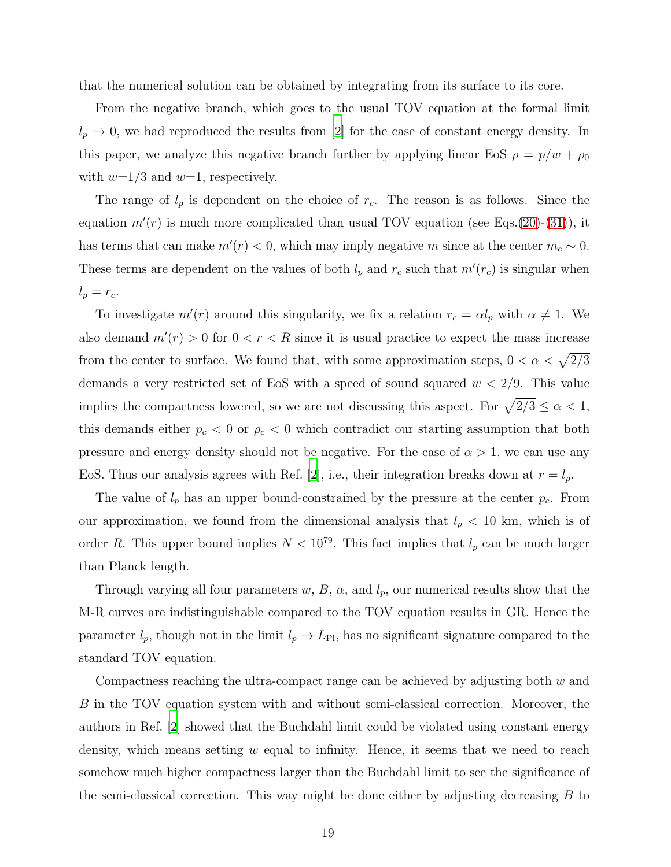that the numerical solution can be obtained by integrating from its surface to its core.

From the negative branch, which goes to the usual TOV equation at the formal limit  $l_p \rightarrow 0$ , we had reproduced the results from [\[2](#page-20-1)] for the case of constant energy density. In this paper, we analyze this negative branch further by applying linear EoS  $\rho = p/w + \rho_0$ with  $w=1/3$  and  $w=1$ , respectively.

The range of  $l_p$  is dependent on the choice of  $r_c$ . The reason is as follows. Since the equation  $m'(r)$  is much more complicated than usual TOV equation (see Eqs.[\(20\)](#page-9-0)-[\(31\)](#page-9-1)), it has terms that can make  $m'(r) < 0$ , which may imply negative m since at the center  $m_c \sim 0$ . These terms are dependent on the values of both  $l_p$  and  $r_c$  such that  $m'(r_c)$  is singular when  $l_p = r_c$ .

To investigate  $m'(r)$  around this singularity, we fix a relation  $r_c = \alpha l_p$  with  $\alpha \neq 1$ . We also demand  $m'(r) > 0$  for  $0 < r < R$  since it is usual practice to expect the mass increase from the center to surface. We found that, with some approximation steps,  $0 < \alpha < \sqrt{2/3}$ demands a very restricted set of EoS with a speed of sound squared  $w < 2/9$ . This value implies the compactness lowered, so we are not discussing this aspect. For  $\sqrt{2/3} \le \alpha < 1$ , this demands either  $p_c < 0$  or  $\rho_c < 0$  which contradict our starting assumption that both pressure and energy density should not be negative. For the case of  $\alpha > 1$ , we can use any EoS. Thus our analysis agrees with Ref. [\[2](#page-20-1)], i.e., their integration breaks down at  $r = l_p$ .

The value of  $l_p$  has an upper bound-constrained by the pressure at the center  $p_c$ . From our approximation, we found from the dimensional analysis that  $l_p < 10$  km, which is of order R. This upper bound implies  $N < 10^{79}$ . This fact implies that  $l_p$  can be much larger than Planck length.

Through varying all four parameters  $w, B, \alpha$ , and  $l_p$ , our numerical results show that the M-R curves are indistinguishable compared to the TOV equation results in GR. Hence the parameter  $l_p$ , though not in the limit  $l_p \to L_{\text{Pl}}$ , has no significant signature compared to the standard TOV equation.

Compactness reaching the ultra-compact range can be achieved by adjusting both  $w$  and B in the TOV equation system with and without semi-classical correction. Moreover, the authors in Ref. [\[2\]](#page-20-1) showed that the Buchdahl limit could be violated using constant energy density, which means setting  $w$  equal to infinity. Hence, it seems that we need to reach somehow much higher compactness larger than the Buchdahl limit to see the significance of the semi-classical correction. This way might be done either by adjusting decreasing  $B$  to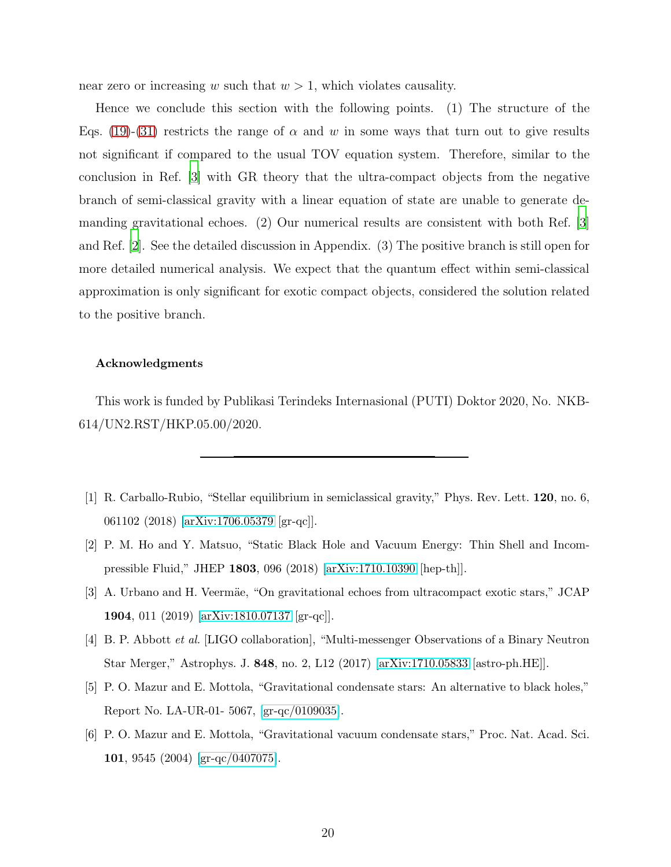near zero or increasing w such that  $w > 1$ , which violates causality.

Hence we conclude this section with the following points. (1) The structure of the Eqs. [\(19\)](#page-8-1)-[\(31\)](#page-9-1) restricts the range of  $\alpha$  and w in some ways that turn out to give results not significant if compared to the usual TOV equation system. Therefore, similar to the conclusion in Ref. [\[3](#page-20-2)] with GR theory that the ultra-compact objects from the negative branch of semi-classical gravity with a linear equation of state are unable to generate demanding gravitational echoes. (2) Our numerical results are consistent with both Ref. [\[3\]](#page-20-2) and Ref. [\[2](#page-20-1)]. See the detailed discussion in Appendix. (3) The positive branch is still open for more detailed numerical analysis. We expect that the quantum effect within semi-classical approximation is only significant for exotic compact objects, considered the solution related to the positive branch.

# Acknowledgments

This work is funded by Publikasi Terindeks Internasional (PUTI) Doktor 2020, No. NKB-614/UN2.RST/HKP.05.00/2020.

- <span id="page-20-0"></span>[1] R. Carballo-Rubio, "Stellar equilibrium in semiclassical gravity," Phys. Rev. Lett. 120, no. 6, 061102 (2018) [\[arXiv:1706.05379](http://arxiv.org/abs/1706.05379) [gr-qc]].
- <span id="page-20-1"></span>[2] P. M. Ho and Y. Matsuo, "Static Black Hole and Vacuum Energy: Thin Shell and Incompressible Fluid," JHEP 1803, 096 (2018) [\[arXiv:1710.10390](http://arxiv.org/abs/1710.10390) [hep-th]].
- <span id="page-20-2"></span>[3] A. Urbano and H. Veermäe, "On gravitational echoes from ultracompact exotic stars," JCAP 1904, 011 (2019) [\[arXiv:1810.07137](http://arxiv.org/abs/1810.07137) [gr-qc]].
- <span id="page-20-3"></span>[4] B. P. Abbott et al. [LIGO collaboration], "Multi-messenger Observations of a Binary Neutron Star Merger," Astrophys. J. 848, no. 2, L12 (2017) [\[arXiv:1710.05833](http://arxiv.org/abs/1710.05833) [astro-ph.HE]].
- <span id="page-20-4"></span>[5] P. O. Mazur and E. Mottola, "Gravitational condensate stars: An alternative to black holes," Report No. LA-UR-01- 5067, [\[gr-qc/0109035\]](http://arxiv.org/abs/gr-qc/0109035).
- <span id="page-20-5"></span>[6] P. O. Mazur and E. Mottola, "Gravitational vacuum condensate stars," Proc. Nat. Acad. Sci. 101, 9545 (2004) [\[gr-qc/0407075\]](http://arxiv.org/abs/gr-qc/0407075).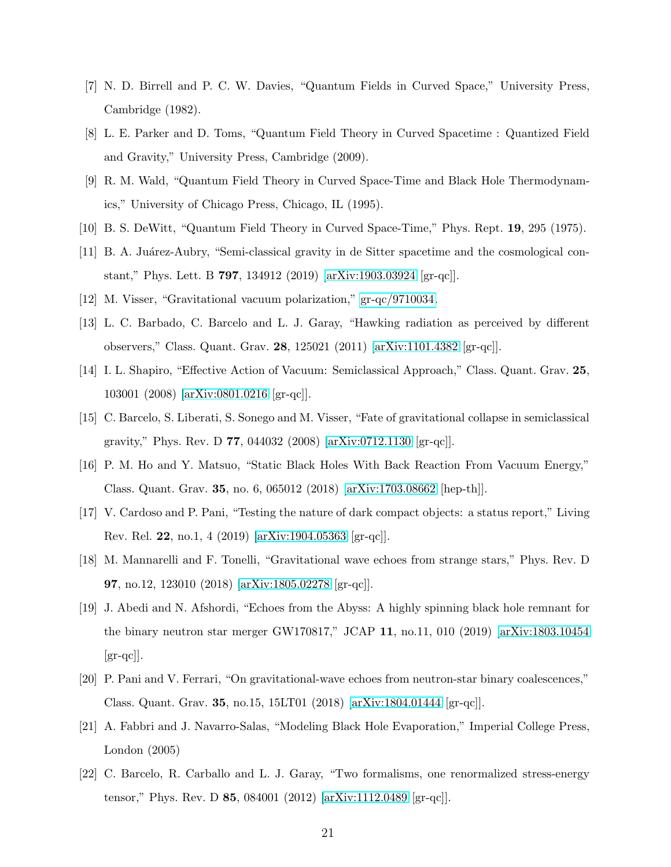- <span id="page-21-0"></span>[7] N. D. Birrell and P. C. W. Davies, "Quantum Fields in Curved Space," University Press, Cambridge (1982).
- <span id="page-21-1"></span>[8] L. E. Parker and D. Toms, "Quantum Field Theory in Curved Spacetime : Quantized Field and Gravity," University Press, Cambridge (2009).
- <span id="page-21-2"></span>[9] R. M. Wald, "Quantum Field Theory in Curved Space-Time and Black Hole Thermodynamics," University of Chicago Press, Chicago, IL (1995).
- <span id="page-21-4"></span><span id="page-21-3"></span>[10] B. S. DeWitt, "Quantum Field Theory in Curved Space-Time," Phys. Rept. 19, 295 (1975).
- [11] B. A. Juárez-Aubry, "Semi-classical gravity in de Sitter spacetime and the cosmological constant," Phys. Lett. B 797, 134912 (2019) [\[arXiv:1903.03924](http://arxiv.org/abs/1903.03924) [gr-qc]].
- <span id="page-21-6"></span><span id="page-21-5"></span>[12] M. Visser, "Gravitational vacuum polarization," [gr-qc/9710034.](http://arxiv.org/abs/gr-qc/9710034)
- [13] L. C. Barbado, C. Barcelo and L. J. Garay, "Hawking radiation as perceived by different observers," Class. Quant. Grav. 28, 125021 (2011) [\[arXiv:1101.4382](http://arxiv.org/abs/1101.4382) [gr-qc]].
- <span id="page-21-7"></span>[14] I. L. Shapiro, "Effective Action of Vacuum: Semiclassical Approach," Class. Quant. Grav. 25, 103001 (2008) [\[arXiv:0801.0216](http://arxiv.org/abs/0801.0216) [gr-qc]].
- <span id="page-21-8"></span>[15] C. Barcelo, S. Liberati, S. Sonego and M. Visser, "Fate of gravitational collapse in semiclassical gravity," Phys. Rev. D 77, 044032 (2008) [\[arXiv:0712.1130](http://arxiv.org/abs/0712.1130) [gr-qc]].
- <span id="page-21-9"></span>[16] P. M. Ho and Y. Matsuo, "Static Black Holes With Back Reaction From Vacuum Energy," Class. Quant. Grav. 35, no. 6, 065012 (2018) [\[arXiv:1703.08662](http://arxiv.org/abs/1703.08662) [hep-th]].
- <span id="page-21-10"></span>[17] V. Cardoso and P. Pani, "Testing the nature of dark compact objects: a status report," Living Rev. Rel. 22, no.1, 4 (2019) [\[arXiv:1904.05363](http://arxiv.org/abs/1904.05363) [gr-qc]].
- <span id="page-21-11"></span>[18] M. Mannarelli and F. Tonelli, "Gravitational wave echoes from strange stars," Phys. Rev. D 97, no.12, 123010 (2018) [\[arXiv:1805.02278](http://arxiv.org/abs/1805.02278) [gr-qc]].
- <span id="page-21-12"></span>[19] J. Abedi and N. Afshordi, "Echoes from the Abyss: A highly spinning black hole remnant for the binary neutron star merger GW170817," JCAP 11, no.11, 010 (2019) [\[arXiv:1803.10454](http://arxiv.org/abs/1803.10454)  $\left[\text{gr-qc}\right]$ .
- <span id="page-21-13"></span>[20] P. Pani and V. Ferrari, "On gravitational-wave echoes from neutron-star binary coalescences," Class. Quant. Grav. 35, no.15, 15LT01 (2018) [\[arXiv:1804.01444](http://arxiv.org/abs/1804.01444) [gr-qc]].
- <span id="page-21-14"></span>[21] A. Fabbri and J. Navarro-Salas, "Modeling Black Hole Evaporation," Imperial College Press, London (2005)
- <span id="page-21-15"></span>[22] C. Barcelo, R. Carballo and L. J. Garay, "Two formalisms, one renormalized stress-energy tensor," Phys. Rev. D 85, 084001 (2012) [\[arXiv:1112.0489](http://arxiv.org/abs/1112.0489) [gr-qc]].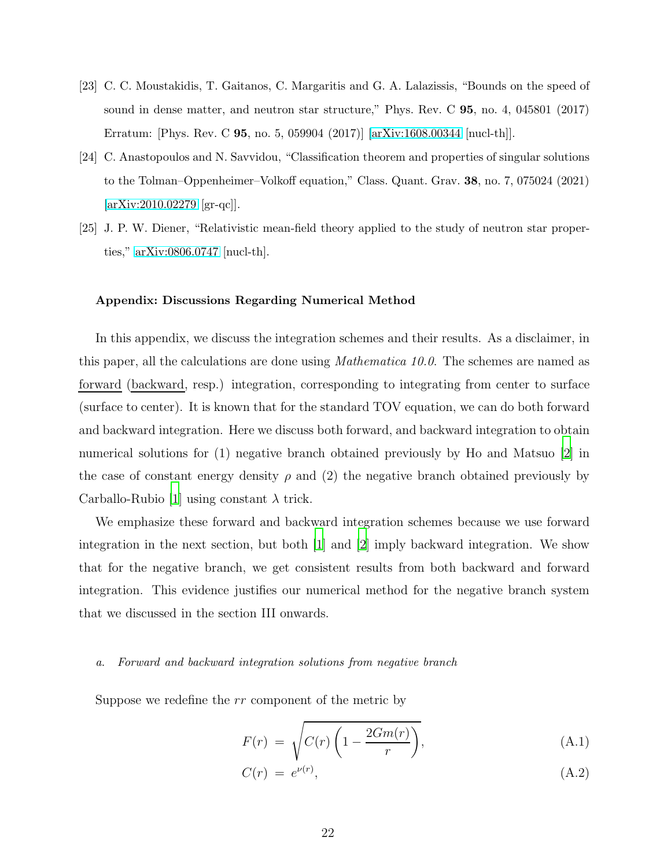- <span id="page-22-1"></span>[23] C. C. Moustakidis, T. Gaitanos, C. Margaritis and G. A. Lalazissis, "Bounds on the speed of sound in dense matter, and neutron star structure," Phys. Rev. C 95, no. 4, 045801 (2017) Erratum: [Phys. Rev. C 95, no. 5, 059904 (2017)] [\[arXiv:1608.00344](http://arxiv.org/abs/1608.00344) [nucl-th]].
- <span id="page-22-2"></span>[24] C. Anastopoulos and N. Savvidou, "Classification theorem and properties of singular solutions to the Tolman–Oppenheimer–Volkoff equation," Class. Quant. Grav. 38, no. 7, 075024 (2021) [\[arXiv:2010.02279](http://arxiv.org/abs/2010.02279) [gr-qc]].
- <span id="page-22-3"></span>[25] J. P. W. Diener, "Relativistic mean-field theory applied to the study of neutron star properties," [arXiv:0806.0747](http://arxiv.org/abs/0806.0747) [nucl-th].

# <span id="page-22-0"></span>Appendix: Discussions Regarding Numerical Method

In this appendix, we discuss the integration schemes and their results. As a disclaimer, in this paper, all the calculations are done using Mathematica 10.0. The schemes are named as forward (backward, resp.) integration, corresponding to integrating from center to surface (surface to center). It is known that for the standard TOV equation, we can do both forward and backward integration. Here we discuss both forward, and backward integration to obtain numerical solutions for (1) negative branch obtained previously by Ho and Matsuo [\[2](#page-20-1)] in the case of constant energy density  $\rho$  and (2) the negative branch obtained previously by Carballo-Rubio [\[1](#page-20-0)] using constant  $\lambda$  trick.

We emphasize these forward and backward integration schemes because we use forward integration in the next section, but both [\[1\]](#page-20-0) and [\[2](#page-20-1)] imply backward integration. We show that for the negative branch, we get consistent results from both backward and forward integration. This evidence justifies our numerical method for the negative branch system that we discussed in the section III onwards.

#### a. Forward and backward integration solutions from negative branch

Suppose we redefine the rr component of the metric by

$$
F(r) = \sqrt{C(r)\left(1 - \frac{2Gm(r)}{r}\right)},\tag{A.1}
$$

$$
C(r) = e^{\nu(r)}, \tag{A.2}
$$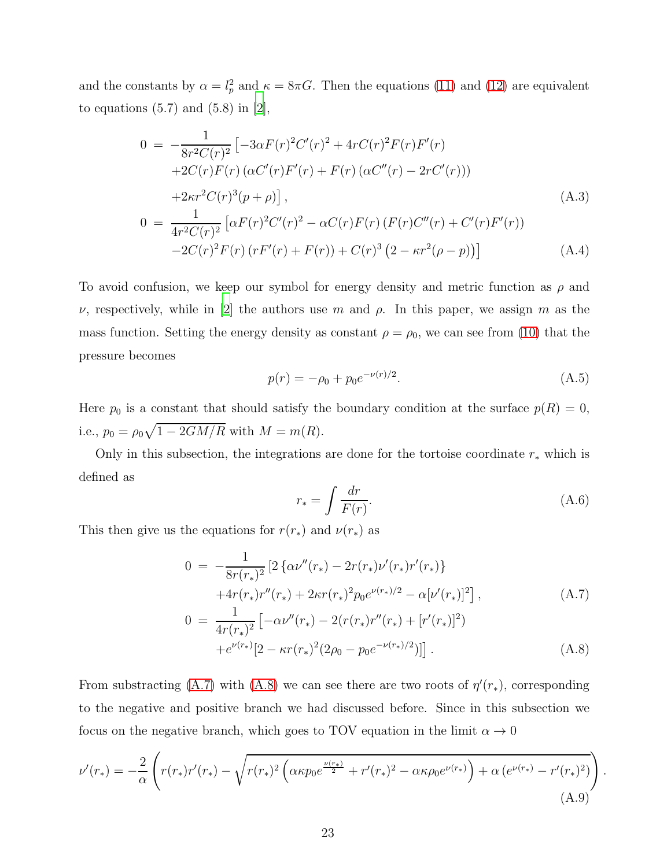and the constants by  $\alpha = l_p^2$  and  $\kappa = 8\pi G$ . Then the equations [\(11\)](#page-7-0) and [\(12\)](#page-7-0) are equivalent to equations  $(5.7)$  and  $(5.8)$  in  $[2]$ ,

$$
0 = -\frac{1}{8r^2C(r)^2} \left[ -3\alpha F(r)^2 C'(r)^2 + 4rC(r)^2 F(r)F'(r) + 2C(r)F(r) (\alpha C'(r)F'(r) + F(r) (\alpha C''(r) - 2rC'(r))) \right]
$$
  
+2\kappa r^2 C(r)^3 (p+\rho) \right], (A.3)  

$$
0 = \frac{1}{4r^2C(r)^2} \left[ \alpha F(r)^2 C'(r)^2 - \alpha C(r)F(r) (F(r)C''(r) + C'(r)F'(r)) - 2C(r)^2 F(r) (rF'(r) + F(r)) + C(r)^3 (2 - \kappa r^2(\rho - p)) \right]
$$
 (A.4)

To avoid confusion, we keep our symbol for energy density and metric function as  $\rho$  and  $ν$ , respectively, while in [\[2\]](#page-20-1) the authors use m and  $ρ$ . In this paper, we assign m as the mass function. Setting the energy density as constant  $\rho = \rho_0$ , we can see from [\(10\)](#page-7-0) that the pressure becomes

$$
p(r) = -\rho_0 + p_0 e^{-\nu(r)/2}.
$$
\n(A.5)

Here  $p_0$  is a constant that should satisfy the boundary condition at the surface  $p(R) = 0$ , i.e.,  $p_0 = \rho_0 \sqrt{1 - 2GM/R}$  with  $M = m(R)$ .

Only in this subsection, the integrations are done for the tortoise coordinate  $r_*$  which is defined as

$$
r_* = \int \frac{dr}{F(r)}.\tag{A.6}
$$

This then give us the equations for  $r(r_*)$  and  $\nu(r_*)$  as

<span id="page-23-0"></span>
$$
0 = -\frac{1}{8r(r_*)^2} \left[ 2 \left\{ \alpha \nu''(r_*) - 2r(r_*)\nu'(r_*)r'(r_*) \right\} + 4r(r_*)r''(r_*) + 2\kappa r(r_*)^2 p_0 e^{\nu(r_*)/2} - \alpha[\nu'(r_*)]^2 \right],
$$
\n(A.7)

$$
0 = \frac{1}{4r(r_*)^2} \left[ -\alpha \nu''(r_*) - 2(r(r_*)r''(r_*) + [r'(r_*)]^2) + e^{\nu(r_*)} [2 - \kappa r(r_*)^2 (2\rho_0 - p_0 e^{-\nu(r_*)/2})] \right].
$$
\n(A.8)

From substracting [\(A.7\)](#page-23-0) with [\(A.8\)](#page-23-0) we can see there are two roots of  $\eta'(r_*)$ , corresponding to the negative and positive branch we had discussed before. Since in this subsection we focus on the negative branch, which goes to TOV equation in the limit  $\alpha \to 0$ 

<span id="page-23-1"></span>
$$
\nu'(r_*) = -\frac{2}{\alpha} \left( r(r_*) r'(r_*) - \sqrt{r(r_*)^2 \left( \alpha \kappa p_0 e^{\frac{\nu(r_*)}{2}} + r'(r_*)^2 - \alpha \kappa \rho_0 e^{\nu(r_*)} \right) + \alpha \left( e^{\nu(r_*)} - r'(r_*)^2 \right)} \right). \tag{A.9}
$$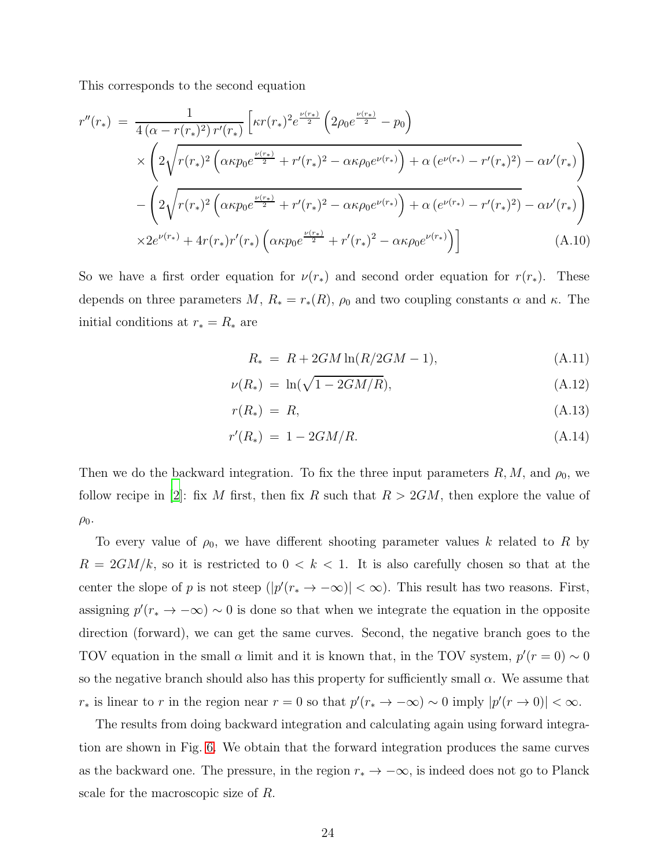This corresponds to the second equation

<span id="page-24-0"></span>
$$
r''(r_{*}) = \frac{1}{4(\alpha - r(r_{*})^{2})r'(r_{*})} \left[ \kappa r(r_{*})^{2} e^{\frac{\nu(r_{*})}{2}} \left( 2\rho_{0} e^{\frac{\nu(r_{*})}{2}} - p_{0} \right) \times \left( 2\sqrt{r(r_{*})^{2} \left( \alpha \kappa p_{0} e^{\frac{\nu(r_{*})}{2}} + r'(r_{*})^{2} - \alpha \kappa \rho_{0} e^{\nu(r_{*})} \right) + \alpha \left( e^{\nu(r_{*})} - r'(r_{*})^{2} \right) - \alpha \nu'(r_{*})} \right) \times \left( 2\sqrt{r(r_{*})^{2} \left( \alpha \kappa p_{0} e^{\frac{\nu(r_{*})}{2}} + r'(r_{*})^{2} - \alpha \kappa \rho_{0} e^{\nu(r_{*})} \right) + \alpha \left( e^{\nu(r_{*})} - r'(r_{*})^{2} \right) - \alpha \nu'(r_{*})} \right) \times 2e^{\nu(r_{*})} + 4r(r_{*})r'(r_{*}) \left( \alpha \kappa p_{0} e^{\frac{\nu(r_{*})}{2}} + r'(r_{*})^{2} - \alpha \kappa \rho_{0} e^{\nu(r_{*})} \right) \right]
$$
(A.10)

So we have a first order equation for  $\nu(r_*)$  and second order equation for  $r(r_*)$ . These depends on three parameters  $M, R_* = r_*(R), \rho_0$  and two coupling constants  $\alpha$  and  $\kappa$ . The initial conditions at  $r_* = R_*$  are

$$
R_* = R + 2GM \ln(R/2GM - 1), \tag{A.11}
$$

$$
\nu(R_*) = \ln(\sqrt{1 - 2GM/R}), \tag{A.12}
$$

$$
r(R_*) = R,\tag{A.13}
$$

$$
r'(R_*) = 1 - 2GM/R.
$$
 (A.14)

Then we do the backward integration. To fix the three input parameters  $R, M$ , and  $\rho_0$ , we follow recipe in [\[2\]](#page-20-1): fix M first, then fix R such that  $R > 2GM$ , then explore the value of  $\rho_0$ .

To every value of  $\rho_0$ , we have different shooting parameter values k related to R by  $R = 2GM/k$ , so it is restricted to  $0 < k < 1$ . It is also carefully chosen so that at the center the slope of p is not steep  $(|p'(r_{*} \to -\infty)| < \infty)$ . This result has two reasons. First, assigning  $p'(r_* \to -\infty) \sim 0$  is done so that when we integrate the equation in the opposite direction (forward), we can get the same curves. Second, the negative branch goes to the TOV equation in the small  $\alpha$  limit and it is known that, in the TOV system,  $p'(r = 0) \sim 0$ so the negative branch should also has this property for sufficiently small  $\alpha$ . We assume that r<sub>∗</sub> is linear to r in the region near  $r = 0$  so that  $p'(r \to -\infty) \sim 0$  imply  $|p'(r \to 0)| < \infty$ .

The results from doing backward integration and calculating again using forward integration are shown in Fig. [6.](#page-25-0) We obtain that the forward integration produces the same curves as the backward one. The pressure, in the region  $r_* \to -\infty$ , is indeed does not go to Planck scale for the macroscopic size of R.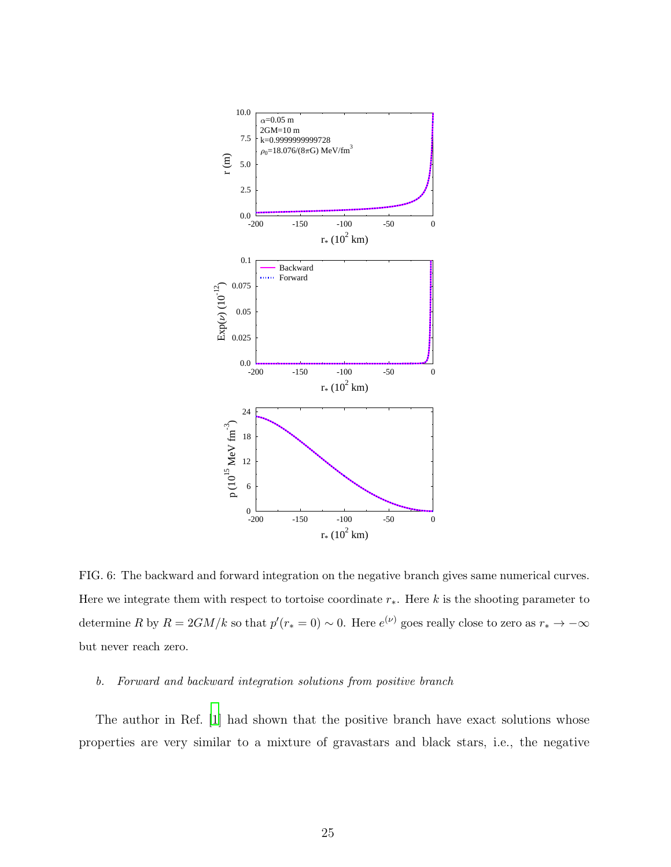

<span id="page-25-0"></span>FIG. 6: The backward and forward integration on the negative branch gives same numerical curves. Here we integrate them with respect to tortoise coordinate  $r_*$ . Here k is the shooting parameter to determine R by  $R = 2GM/k$  so that  $p'(r_*) = 0$ . Here  $e^{(\nu)}$  goes really close to zero as  $r_* \to -\infty$ but never reach zero.

#### b. Forward and backward integration solutions from positive branch

The author in Ref. [\[1](#page-20-0)] had shown that the positive branch have exact solutions whose properties are very similar to a mixture of gravastars and black stars, i.e., the negative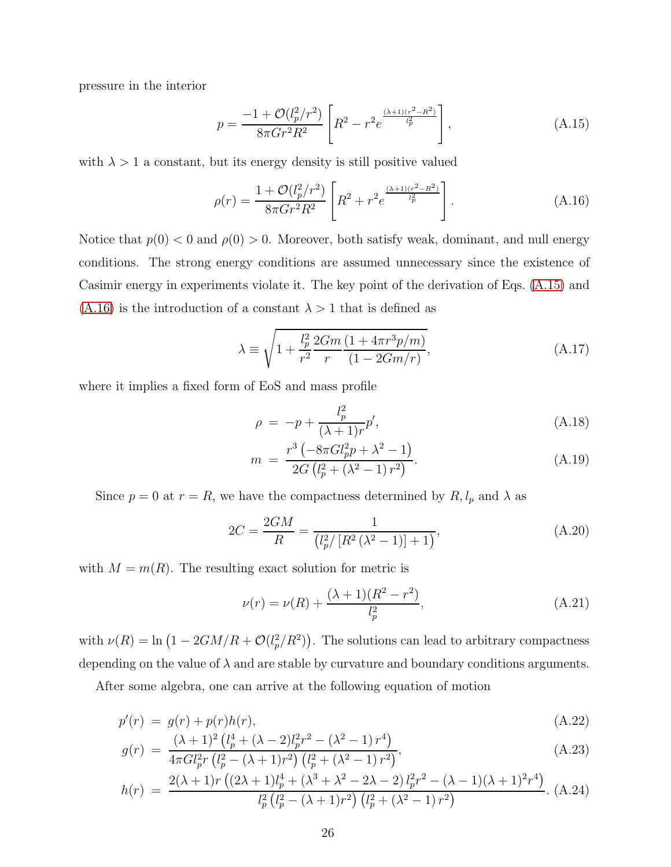pressure in the interior

<span id="page-26-1"></span>
$$
p = \frac{-1 + \mathcal{O}(l_p^2/r^2)}{8\pi G r^2 R^2} \left[ R^2 - r^2 e^{\frac{(\lambda + 1)(r^2 - R^2)}{l_p^2}} \right],
$$
 (A.15)

with  $\lambda > 1$  a constant, but its energy density is still positive valued

<span id="page-26-2"></span>
$$
\rho(r) = \frac{1 + \mathcal{O}(l_p^2/r^2)}{8\pi G r^2 R^2} \left[ R^2 + r^2 e^{\frac{(\lambda + 1)(r^2 - R^2)}{l_p^2}} \right].
$$
\n(A.16)

Notice that  $p(0) < 0$  and  $p(0) > 0$ . Moreover, both satisfy weak, dominant, and null energy conditions. The strong energy conditions are assumed unnecessary since the existence of Casimir energy in experiments violate it. The key point of the derivation of Eqs. [\(A.15\)](#page-26-1) and  $(A.16)$  is the introduction of a constant  $\lambda > 1$  that is defined as

$$
\lambda \equiv \sqrt{1 + \frac{l_p^2}{r^2} \frac{2Gm}{r} \frac{(1 + 4\pi r^3 p/m)}{(1 - 2Gm/r)}},\tag{A.17}
$$

where it implies a fixed form of EoS and mass profile

<span id="page-26-0"></span>
$$
\rho = -p + \frac{l_p^2}{(\lambda + 1)r}p',\tag{A.18}
$$

$$
m = \frac{r^3 \left(-8\pi G l_p^2 p + \lambda^2 - 1\right)}{2G \left(l_p^2 + \left(\lambda^2 - 1\right) r^2\right)}.
$$
\n(A.19)

Since  $p = 0$  at  $r = R$ , we have the compactness determined by  $R$ ,  $l_p$  and  $\lambda$  as

$$
2C = \frac{2GM}{R} = \frac{1}{\left(l_p^2 / \left[R^2 \left(\lambda^2 - 1\right)\right] + 1\right)},\tag{A.20}
$$

with  $M = m(R)$ . The resulting exact solution for metric is

$$
\nu(r) = \nu(R) + \frac{(\lambda + 1)(R^2 - r^2)}{l_p^2},\tag{A.21}
$$

with  $\nu(R) = \ln(1 - 2GM/R + \mathcal{O}(l_p^2/R^2))$ . The solutions can lead to arbitrary compactness depending on the value of  $\lambda$  and are stable by curvature and boundary conditions arguments.

After some algebra, one can arrive at the following equation of motion

$$
p'(r) = g(r) + p(r)h(r),
$$
  
\n
$$
(\lambda + 1)^2 (l^4 + (\lambda - 2)l^2r^2 - (\lambda^2 - 1)r^4)
$$
\n(A.22)

$$
g(r) = \frac{(\lambda + 1)^2 \left(l_p^4 + (\lambda - 2)l_p^2 r^2 - (\lambda^2 - 1) r^4\right)}{4\pi G l_p^2 r \left(l_p^2 - (\lambda + 1) r^2\right) \left(l_p^2 + (\lambda^2 - 1) r^2\right)},\tag{A.23}
$$

$$
h(r) = \frac{2(\lambda + 1)r\left((2\lambda + 1)l_p^4 + (\lambda^3 + \lambda^2 - 2\lambda - 2)l_p^2r^2 - (\lambda - 1)(\lambda + 1)^2r^4\right)}{l_p^2\left(l_p^2 - (\lambda + 1)r^2\right)\left(l_p^2 + (\lambda^2 - 1)r^2\right)}.
$$
 (A.24)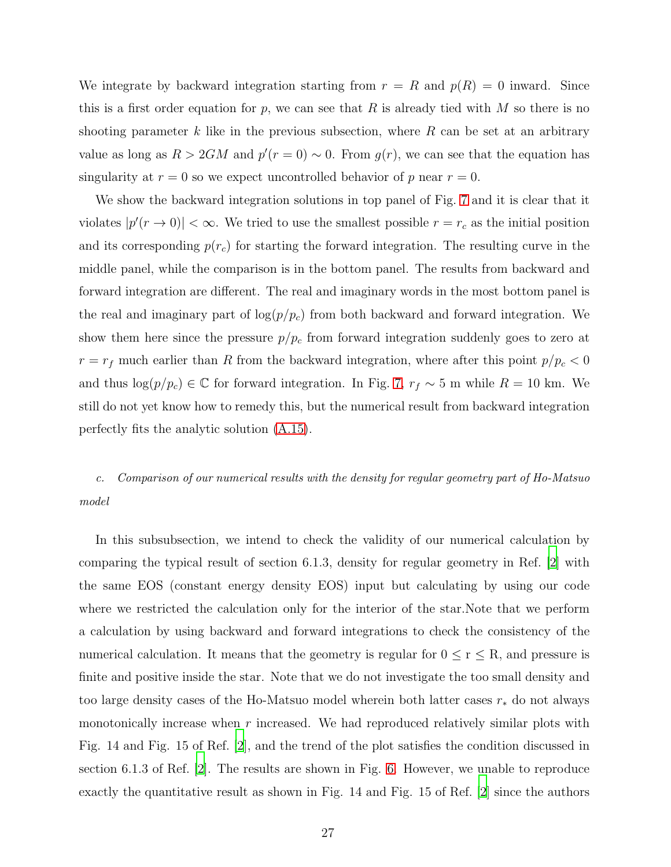We integrate by backward integration starting from  $r = R$  and  $p(R) = 0$  inward. Since this is a first order equation for p, we can see that R is already tied with M so there is no shooting parameter k like in the previous subsection, where  $R$  can be set at an arbitrary value as long as  $R > 2GM$  and  $p'(r = 0) \sim 0$ . From  $g(r)$ , we can see that the equation has singularity at  $r = 0$  so we expect uncontrolled behavior of p near  $r = 0$ .

We show the backward integration solutions in top panel of Fig. [7](#page-28-0) and it is clear that it violates  $|p'(r \to 0)| < \infty$ . We tried to use the smallest possible  $r = r_c$  as the initial position and its corresponding  $p(r_c)$  for starting the forward integration. The resulting curve in the middle panel, while the comparison is in the bottom panel. The results from backward and forward integration are different. The real and imaginary words in the most bottom panel is the real and imaginary part of  $\log(p/p_c)$  from both backward and forward integration. We show them here since the pressure  $p/p_c$  from forward integration suddenly goes to zero at  $r = r_f$  much earlier than R from the backward integration, where after this point  $p/p_c < 0$ and thus  $\log(p/p_c) \in \mathbb{C}$  for forward integration. In Fig. [7,](#page-28-0)  $r_f \sim 5$  m while  $R = 10$  km. We still do not yet know how to remedy this, but the numerical result from backward integration perfectly fits the analytic solution [\(A.15\)](#page-26-1).

c. Comparison of our numerical results with the density for regular geometry part of Ho-Matsuo model

In this subsubsection, we intend to check the validity of our numerical calculation by comparing the typical result of section 6.1.3, density for regular geometry in Ref. [\[2\]](#page-20-1) with the same EOS (constant energy density EOS) input but calculating by using our code where we restricted the calculation only for the interior of the star.Note that we perform a calculation by using backward and forward integrations to check the consistency of the numerical calculation. It means that the geometry is regular for  $0 \le r \le R$ , and pressure is finite and positive inside the star. Note that we do not investigate the too small density and too large density cases of the Ho-Matsuo model wherein both latter cases  $r_*$  do not always monotonically increase when r increased. We had reproduced relatively similar plots with Fig. 14 and Fig. 15 of Ref. [\[2](#page-20-1)], and the trend of the plot satisfies the condition discussed in section 6.1.3 of Ref. [\[2](#page-20-1)]. The results are shown in Fig. [6.](#page-25-0) However, we unable to reproduce exactly the quantitative result as shown in Fig. 14 and Fig. 15 of Ref. [\[2](#page-20-1)] since the authors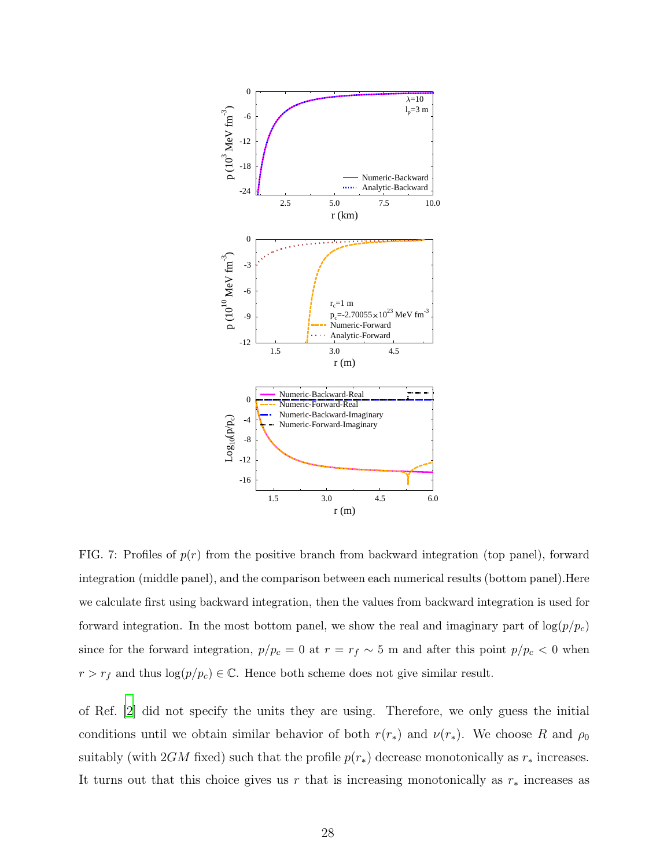

<span id="page-28-0"></span>FIG. 7: Profiles of  $p(r)$  from the positive branch from backward integration (top panel), forward integration (middle panel), and the comparison between each numerical results (bottom panel).Here we calculate first using backward integration, then the values from backward integration is used for forward integration. In the most bottom panel, we show the real and imaginary part of  $\log(p/p_c)$ since for the forward integration,  $p/p_c = 0$  at  $r = r_f \sim 5$  m and after this point  $p/p_c < 0$  when  $r > r_f$  and thus  $log(p/p_c) \in \mathbb{C}$ . Hence both scheme does not give similar result.

of Ref. [\[2](#page-20-1)] did not specify the units they are using. Therefore, we only guess the initial conditions until we obtain similar behavior of both  $r(r_*)$  and  $\nu(r_*)$ . We choose R and  $\rho_0$ suitably (with 2GM fixed) such that the profile  $p(r_*)$  decrease monotonically as  $r_*$  increases. It turns out that this choice gives us r that is increasing monotonically as  $r_*$  increases as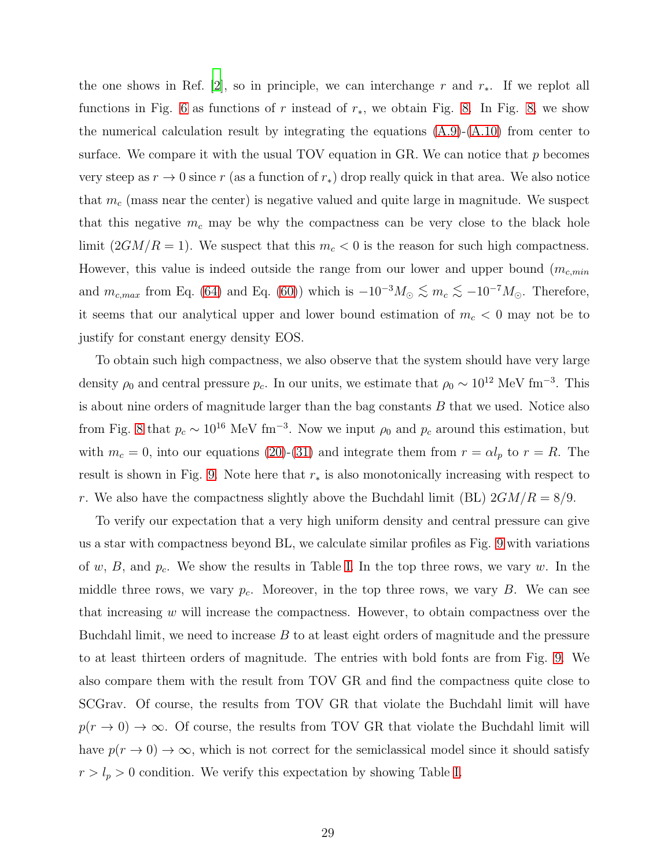the one shows in Ref. [\[2](#page-20-1)], so in principle, we can interchange r and  $r_*$ . If we replot all functions in Fig. [6](#page-25-0) as functions of r instead of  $r<sub>*</sub>$ , we obtain Fig. [8.](#page-30-0) In Fig. [8,](#page-30-0) we show the numerical calculation result by integrating the equations  $(A.9)-(A.10)$  $(A.9)-(A.10)$  from center to surface. We compare it with the usual TOV equation in GR. We can notice that  $p$  becomes very steep as  $r \to 0$  since r (as a function of  $r_$ ) drop really quick in that area. We also notice that  $m_c$  (mass near the center) is negative valued and quite large in magnitude. We suspect that this negative  $m_c$  may be why the compactness can be very close to the black hole limit  $(2GM/R = 1)$ . We suspect that this  $m_c < 0$  is the reason for such high compactness. However, this value is indeed outside the range from our lower and upper bound  $(m_{c,min}$ and  $m_{c,max}$  from Eq. [\(64\)](#page-13-0) and Eq. [\(60\)](#page-13-1)) which is  $-10^{-3}M_{\odot} \lesssim m_c \lesssim -10^{-7}M_{\odot}$ . Therefore, it seems that our analytical upper and lower bound estimation of  $m_c < 0$  may not be to justify for constant energy density EOS.

To obtain such high compactness, we also observe that the system should have very large density  $\rho_0$  and central pressure  $p_c$ . In our units, we estimate that  $\rho_0 \sim 10^{12}$  MeV fm<sup>-3</sup>. This is about nine orders of magnitude larger than the bag constants  $B$  that we used. Notice also from Fig. [8](#page-30-0) that  $p_c \sim 10^{16} \text{ MeV fm}^{-3}$ . Now we input  $\rho_0$  and  $p_c$  around this estimation, but with  $m_c = 0$ , into our equations [\(20\)](#page-9-0)-[\(31\)](#page-9-1) and integrate them from  $r = \alpha l_p$  to  $r = R$ . The result is shown in Fig. [9.](#page-31-0) Note here that  $r_*$  is also monotonically increasing with respect to r. We also have the compactness slightly above the Buchdahl limit (BL)  $2GM/R = 8/9$ .

To verify our expectation that a very high uniform density and central pressure can give us a star with compactness beyond BL, we calculate similar profiles as Fig. [9](#page-31-0) with variations of w, B, and  $p_c$ . We show the results in Table [I.](#page-32-0) In the top three rows, we vary w. In the middle three rows, we vary  $p_c$ . Moreover, in the top three rows, we vary B. We can see that increasing  $w$  will increase the compactness. However, to obtain compactness over the Buchdahl limit, we need to increase  $B$  to at least eight orders of magnitude and the pressure to at least thirteen orders of magnitude. The entries with bold fonts are from Fig. [9.](#page-31-0) We also compare them with the result from TOV GR and find the compactness quite close to SCGrav. Of course, the results from TOV GR that violate the Buchdahl limit will have  $p(r \to 0) \to \infty$ . Of course, the results from TOV GR that violate the Buchdahl limit will have  $p(r \to 0) \to \infty$ , which is not correct for the semiclassical model since it should satisfy  $r > l_p > 0$  condition. We verify this expectation by showing Table [I.](#page-32-0)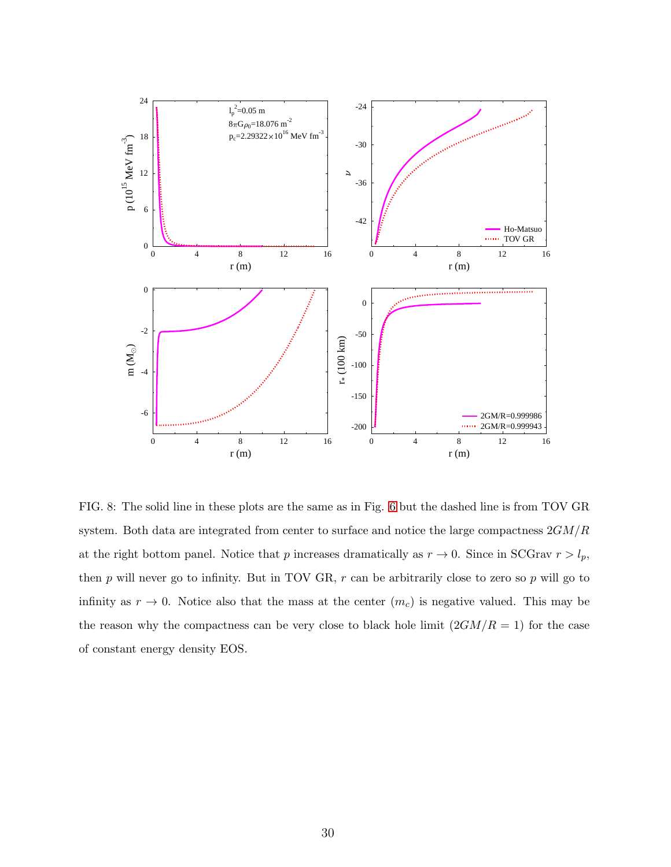

<span id="page-30-0"></span>FIG. 8: The solid line in these plots are the same as in Fig. [6](#page-25-0) but the dashed line is from TOV GR system. Both data are integrated from center to surface and notice the large compactness  $2GM/R$ at the right bottom panel. Notice that p increases dramatically as  $r \to 0$ . Since in SCGrav  $r > l_p$ , then  $p$  will never go to infinity. But in TOV GR,  $r$  can be arbitrarily close to zero so  $p$  will go to infinity as  $r \to 0$ . Notice also that the mass at the center  $(m_c)$  is negative valued. This may be the reason why the compactness can be very close to black hole limit  $(2GM/R = 1)$  for the case of constant energy density EOS.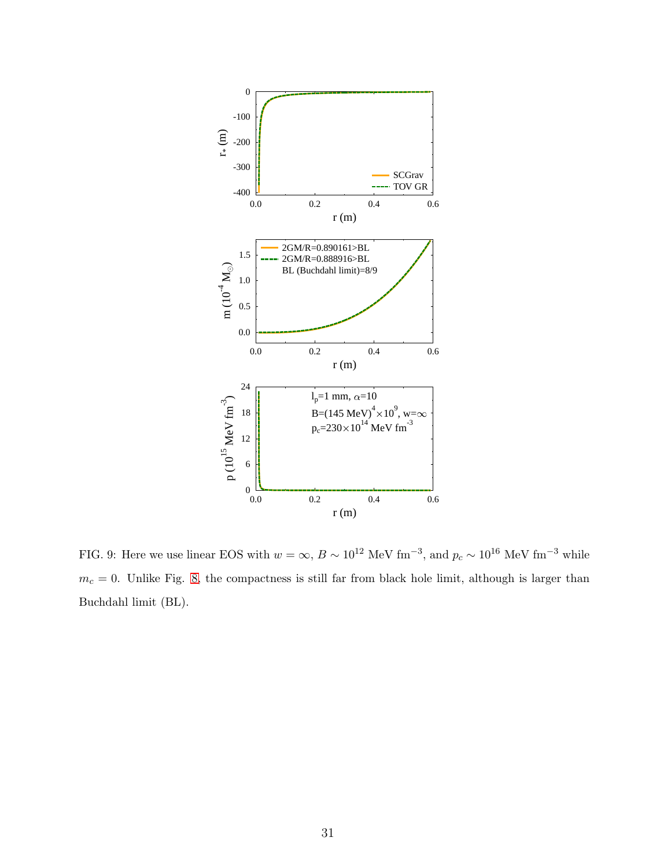

<span id="page-31-0"></span>FIG. 9: Here we use linear EOS with  $w = \infty$ ,  $B \sim 10^{12}$  MeV fm<sup>-3</sup>, and  $p_c \sim 10^{16}$  MeV fm<sup>-3</sup> while  $m_c = 0$ . Unlike Fig. [8,](#page-30-0) the compactness is still far from black hole limit, although is larger than Buchdahl limit (BL).